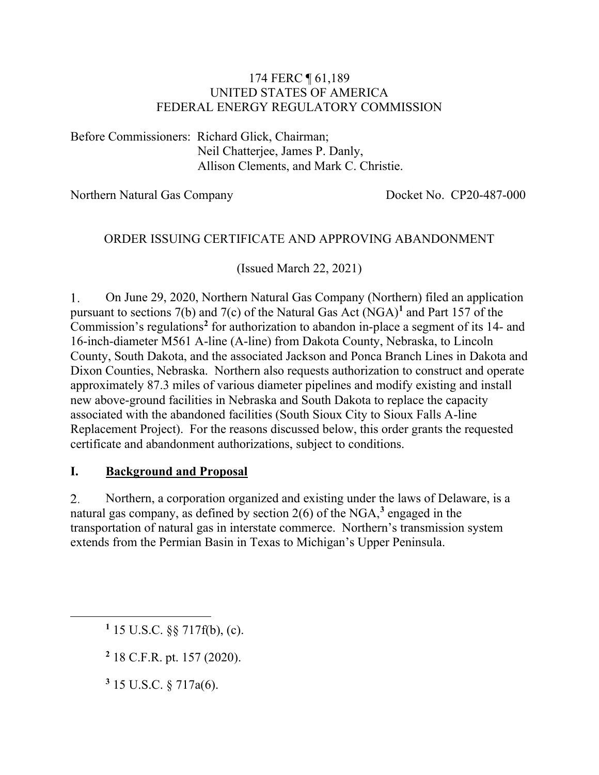### 174 FERC ¶ 61,189 UNITED STATES OF AMERICA FEDERAL ENERGY REGULATORY COMMISSION

Before Commissioners: Richard Glick, Chairman; Neil Chatterjee, James P. Danly, Allison Clements, and Mark C. Christie.

Northern Natural Gas Company Docket No. CP20-487-000

### ORDER ISSUING CERTIFICATE AND APPROVING ABANDONMENT

(Issued March 22, 2021)

 $1<sup>1</sup>$ On June 29, 2020, Northern Natural Gas Company (Northern) filed an application pursuant to sections 7(b) and 7(c) of the Natural Gas Act (NGA)**[1](#page-0-0)** and Part 157 of the Commission's regulations**[2](#page-0-1)** for authorization to abandon in-place a segment of its 14- and 16-inch-diameter M561 A-line (A-line) from Dakota County, Nebraska, to Lincoln County, South Dakota, and the associated Jackson and Ponca Branch Lines in Dakota and Dixon Counties, Nebraska. Northern also requests authorization to construct and operate approximately 87.3 miles of various diameter pipelines and modify existing and install new above-ground facilities in Nebraska and South Dakota to replace the capacity associated with the abandoned facilities (South Sioux City to Sioux Falls A-line Replacement Project). For the reasons discussed below, this order grants the requested certificate and abandonment authorizations, subject to conditions.

### **I. Background and Proposal**

Northern, a corporation organized and existing under the laws of Delaware, is a  $2.$ natural gas company, as defined by section 2(6) of the NGA,**[3](#page-0-2)** engaged in the transportation of natural gas in interstate commerce. Northern's transmission system extends from the Permian Basin in Texas to Michigan's Upper Peninsula.

<span id="page-0-1"></span>**<sup>2</sup>** 18 C.F.R. pt. 157 (2020).

<span id="page-0-2"></span>**<sup>3</sup>** 15 U.S.C. § 717a(6).

<span id="page-0-0"></span>**<sup>1</sup>** 15 U.S.C. §§ 717f(b), (c).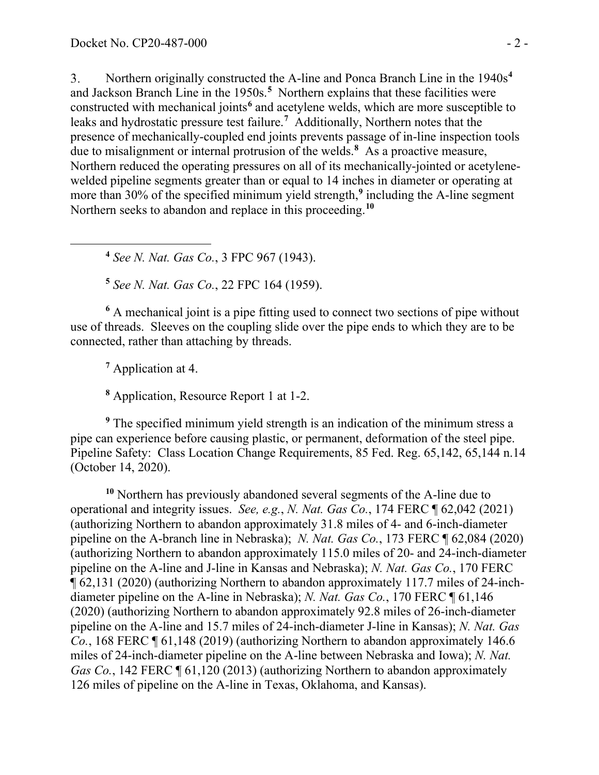Northern originally constructed the A-line and Ponca Branch Line in the 1940s**[4](#page-1-0)**  $3<sub>1</sub>$ and Jackson Branch Line in the 1950s.**[5](#page-1-1)** Northern explains that these facilities were constructed with mechanical joints**[6](#page-1-2)** and acetylene welds, which are more susceptible to leaks and hydrostatic pressure test failure.**[7](#page-1-3)** Additionally, Northern notes that the presence of mechanically-coupled end joints prevents passage of in-line inspection tools due to misalignment or internal protrusion of the welds.**[8](#page-1-4)** As a proactive measure, Northern reduced the operating pressures on all of its mechanically-jointed or acetylenewelded pipeline segments greater than or equal to 14 inches in diameter or operating at more than 30% of the specified minimum yield strength,**[9](#page-1-5)** including the A-line segment Northern seeks to abandon and replace in this proceeding. **[10](#page-1-6)**

**<sup>4</sup>** *See N. Nat. Gas Co.*, 3 FPC 967 (1943).

**<sup>5</sup>** *See N. Nat. Gas Co.*, 22 FPC 164 (1959).

<span id="page-1-2"></span><span id="page-1-1"></span><span id="page-1-0"></span>**<sup>6</sup>** A mechanical joint is a pipe fitting used to connect two sections of pipe without use of threads. Sleeves on the coupling slide over the pipe ends to which they are to be connected, rather than attaching by threads.

**<sup>7</sup>** Application at 4.

**<sup>8</sup>** Application, Resource Report 1 at 1-2.

<span id="page-1-5"></span><span id="page-1-4"></span><span id="page-1-3"></span>**<sup>9</sup>** The specified minimum yield strength is an indication of the minimum stress a pipe can experience before causing plastic, or permanent, deformation of the steel pipe. Pipeline Safety: Class Location Change Requirements, 85 Fed. Reg. 65,142, 65,144 n.14 (October 14, 2020).

<span id="page-1-6"></span>**<sup>10</sup>** Northern has previously abandoned several segments of the A-line due to operational and integrity issues. *See, e.g.*, *N. Nat. Gas Co.*, 174 FERC ¶ 62,042 (2021) (authorizing Northern to abandon approximately 31.8 miles of 4- and 6-inch-diameter pipeline on the A-branch line in Nebraska); *N. Nat. Gas Co.*, 173 FERC ¶ 62,084 (2020) (authorizing Northern to abandon approximately 115.0 miles of 20- and 24-inch-diameter pipeline on the A-line and J-line in Kansas and Nebraska); *N. Nat. Gas Co.*, 170 FERC ¶ 62,131 (2020) (authorizing Northern to abandon approximately 117.7 miles of 24-inchdiameter pipeline on the A-line in Nebraska); *N. Nat. Gas Co.*, 170 FERC ¶ 61,146 (2020) (authorizing Northern to abandon approximately 92.8 miles of 26-inch-diameter pipeline on the A-line and 15.7 miles of 24-inch-diameter J-line in Kansas); *N. Nat. Gas Co.*, 168 FERC ¶ 61,148 (2019) (authorizing Northern to abandon approximately 146.6 miles of 24-inch-diameter pipeline on the A-line between Nebraska and Iowa); *N. Nat. Gas Co.*, 142 FERC  $\P$  61,120 (2013) (authorizing Northern to abandon approximately 126 miles of pipeline on the A-line in Texas, Oklahoma, and Kansas).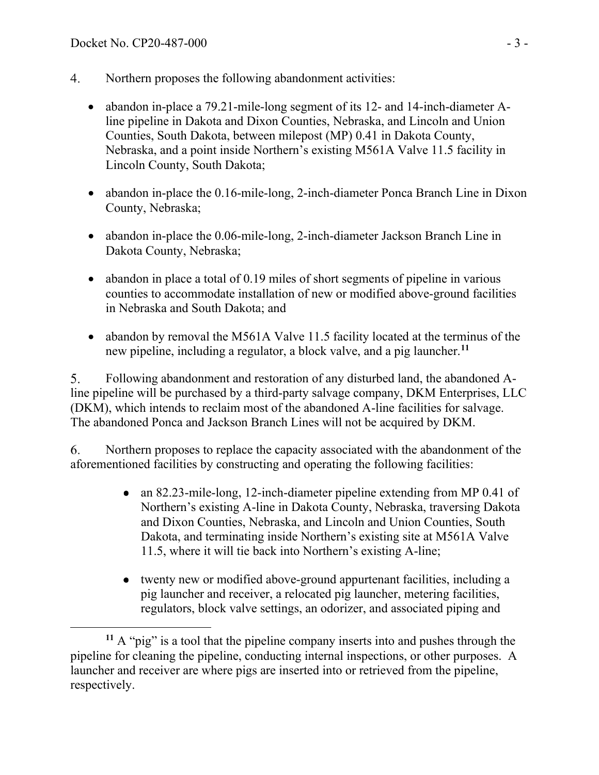- $4.$ Northern proposes the following abandonment activities:
	- abandon in-place a 79.21-mile-long segment of its 12- and 14-inch-diameter Aline pipeline in Dakota and Dixon Counties, Nebraska, and Lincoln and Union Counties, South Dakota, between milepost (MP) 0.41 in Dakota County, Nebraska, and a point inside Northern's existing M561A Valve 11.5 facility in Lincoln County, South Dakota;
	- abandon in-place the 0.16-mile-long, 2-inch-diameter Ponca Branch Line in Dixon County, Nebraska;
	- abandon in-place the 0.06-mile-long, 2-inch-diameter Jackson Branch Line in Dakota County, Nebraska;
	- abandon in place a total of 0.19 miles of short segments of pipeline in various counties to accommodate installation of new or modified above-ground facilities in Nebraska and South Dakota; and
	- abandon by removal the M561A Valve 11.5 facility located at the terminus of the new pipeline, including a regulator, a block valve, and a pig launcher.**[11](#page-2-0)**

 $5<sub>1</sub>$ Following abandonment and restoration of any disturbed land, the abandoned Aline pipeline will be purchased by a third-party salvage company, DKM Enterprises, LLC (DKM), which intends to reclaim most of the abandoned A-line facilities for salvage. The abandoned Ponca and Jackson Branch Lines will not be acquired by DKM.

Northern proposes to replace the capacity associated with the abandonment of the 6. aforementioned facilities by constructing and operating the following facilities:

- an 82.23-mile-long, 12-inch-diameter pipeline extending from MP 0.41 of  $\bullet$ Northern's existing A-line in Dakota County, Nebraska, traversing Dakota and Dixon Counties, Nebraska, and Lincoln and Union Counties, South Dakota, and terminating inside Northern's existing site at M561A Valve 11.5, where it will tie back into Northern's existing A-line;
- twenty new or modified above-ground appurtenant facilities, including a pig launcher and receiver, a relocated pig launcher, metering facilities, regulators, block valve settings, an odorizer, and associated piping and

<span id="page-2-0"></span>**<sup>11</sup>** A "pig" is a tool that the pipeline company inserts into and pushes through the pipeline for cleaning the pipeline, conducting internal inspections, or other purposes. A launcher and receiver are where pigs are inserted into or retrieved from the pipeline, respectively.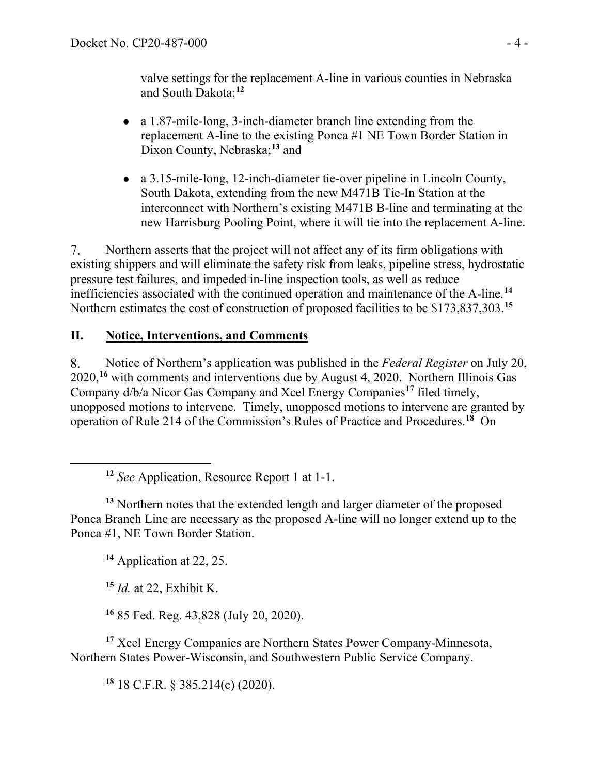valve settings for the replacement A-line in various counties in Nebraska and South Dakota;**[12](#page-3-0)**

- a 1.87-mile-long, 3-inch-diameter branch line extending from the replacement A-line to the existing Ponca #1 NE Town Border Station in Dixon County, Nebraska;**[13](#page-3-1)** and
- a 3.15-mile-long, 12-inch-diameter tie-over pipeline in Lincoln County, South Dakota, extending from the new M471B Tie-In Station at the interconnect with Northern's existing M471B B-line and terminating at the new Harrisburg Pooling Point, where it will tie into the replacement A-line.

Northern asserts that the project will not affect any of its firm obligations with  $7_{\cdot}$ existing shippers and will eliminate the safety risk from leaks, pipeline stress, hydrostatic pressure test failures, and impeded in-line inspection tools, as well as reduce inefficiencies associated with the continued operation and maintenance of the A-line.**[14](#page-3-2)** Northern estimates the cost of construction of proposed facilities to be \$173,837,303.**[15](#page-3-3)**

## **II. Notice, Interventions, and Comments**

8. Notice of Northern's application was published in the *Federal Register* on July 20, 2020, **[16](#page-3-4)** with comments and interventions due by August 4, 2020. Northern Illinois Gas Company d/b/a Nicor Gas Company and Xcel Energy Companies**[17](#page-3-5)** filed timely, unopposed motions to intervene. Timely, unopposed motions to intervene are granted by operation of Rule 214 of the Commission's Rules of Practice and Procedures.**[18](#page-3-6)** On

**<sup>12</sup>** *See* Application, Resource Report 1 at 1-1.

<span id="page-3-2"></span><span id="page-3-1"></span><span id="page-3-0"></span><sup>13</sup> Northern notes that the extended length and larger diameter of the proposed Ponca Branch Line are necessary as the proposed A-line will no longer extend up to the Ponca #1, NE Town Border Station.

**<sup>14</sup>** Application at 22, 25.

**<sup>15</sup>** *Id.* at 22, Exhibit K.

**<sup>16</sup>** 85 Fed. Reg. 43,828 (July 20, 2020).

<span id="page-3-6"></span><span id="page-3-5"></span><span id="page-3-4"></span><span id="page-3-3"></span>**<sup>17</sup>** Xcel Energy Companies are Northern States Power Company-Minnesota, Northern States Power-Wisconsin, and Southwestern Public Service Company.

**<sup>18</sup>** 18 C.F.R. § 385.214(c) (2020).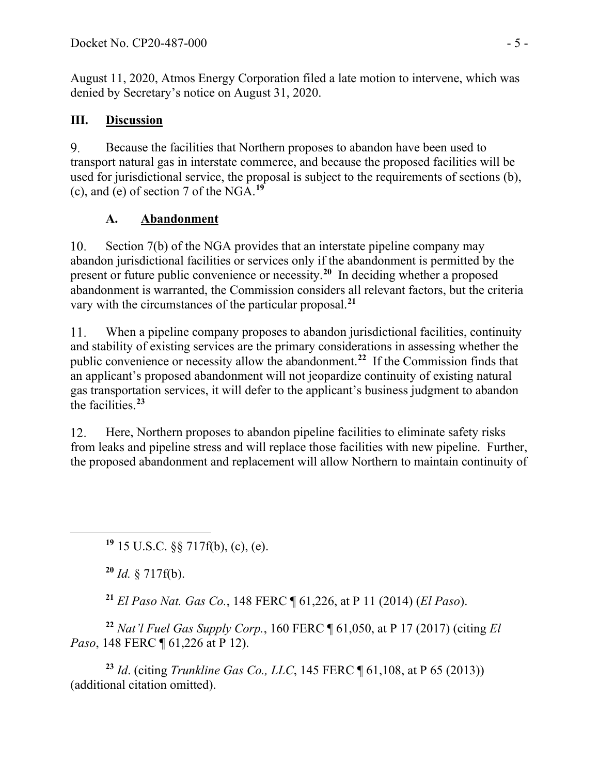August 11, 2020, Atmos Energy Corporation filed a late motion to intervene, which was denied by Secretary's notice on August 31, 2020.

### **III. Discussion**

9. Because the facilities that Northern proposes to abandon have been used to transport natural gas in interstate commerce, and because the proposed facilities will be used for jurisdictional service, the proposal is subject to the requirements of sections (b), (c), and (e) of section 7 of the NGA.**[19](#page-4-0)**

### **A. Abandonment**

Section 7(b) of the NGA provides that an interstate pipeline company may 10. abandon jurisdictional facilities or services only if the abandonment is permitted by the present or future public convenience or necessity.**[20](#page-4-1)** In deciding whether a proposed abandonment is warranted, the Commission considers all relevant factors, but the criteria vary with the circumstances of the particular proposal. **[21](#page-4-2)**

When a pipeline company proposes to abandon jurisdictional facilities, continuity 11. and stability of existing services are the primary considerations in assessing whether the public convenience or necessity allow the abandonment. **[22](#page-4-3)** If the Commission finds that an applicant's proposed abandonment will not jeopardize continuity of existing natural gas transportation services, it will defer to the applicant's business judgment to abandon the facilities. **[23](#page-4-4)**

12. Here, Northern proposes to abandon pipeline facilities to eliminate safety risks from leaks and pipeline stress and will replace those facilities with new pipeline. Further, the proposed abandonment and replacement will allow Northern to maintain continuity of

<span id="page-4-0"></span>**<sup>19</sup>** 15 U.S.C. §§ 717f(b), (c), (e).

**<sup>20</sup>** *Id.* § 717f(b).

**<sup>21</sup>** *El Paso Nat. Gas Co.*, 148 FERC ¶ 61,226, at P 11 (2014) (*El Paso*).

<span id="page-4-3"></span><span id="page-4-2"></span><span id="page-4-1"></span>**<sup>22</sup>** *Nat'l Fuel Gas Supply Corp.*, 160 FERC ¶ 61,050, at P 17 (2017) (citing *El Paso*, 148 FERC  $\P$  61, 226 at P 12).

<span id="page-4-4"></span>**<sup>23</sup>** *Id*. (citing *Trunkline Gas Co., LLC*, 145 FERC ¶ 61,108, at P 65 (2013)) (additional citation omitted).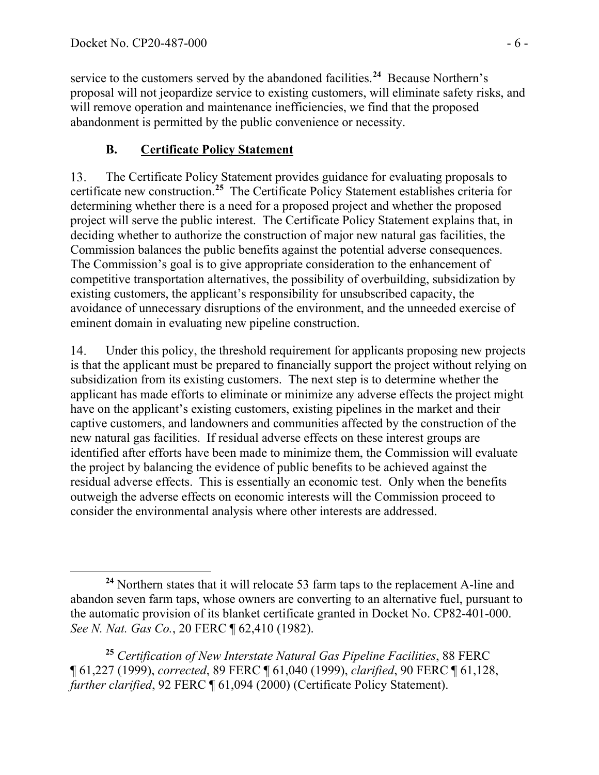service to the customers served by the abandoned facilities. **[24](#page-5-0)** Because Northern's proposal will not jeopardize service to existing customers, will eliminate safety risks, and will remove operation and maintenance inefficiencies, we find that the proposed abandonment is permitted by the public convenience or necessity.

# **B. Certificate Policy Statement**

The Certificate Policy Statement provides guidance for evaluating proposals to 13. certificate new construction.**[25](#page-5-1)** The Certificate Policy Statement establishes criteria for determining whether there is a need for a proposed project and whether the proposed project will serve the public interest. The Certificate Policy Statement explains that, in deciding whether to authorize the construction of major new natural gas facilities, the Commission balances the public benefits against the potential adverse consequences. The Commission's goal is to give appropriate consideration to the enhancement of competitive transportation alternatives, the possibility of overbuilding, subsidization by existing customers, the applicant's responsibility for unsubscribed capacity, the avoidance of unnecessary disruptions of the environment, and the unneeded exercise of eminent domain in evaluating new pipeline construction.

Under this policy, the threshold requirement for applicants proposing new projects 14. is that the applicant must be prepared to financially support the project without relying on subsidization from its existing customers. The next step is to determine whether the applicant has made efforts to eliminate or minimize any adverse effects the project might have on the applicant's existing customers, existing pipelines in the market and their captive customers, and landowners and communities affected by the construction of the new natural gas facilities. If residual adverse effects on these interest groups are identified after efforts have been made to minimize them, the Commission will evaluate the project by balancing the evidence of public benefits to be achieved against the residual adverse effects. This is essentially an economic test. Only when the benefits outweigh the adverse effects on economic interests will the Commission proceed to consider the environmental analysis where other interests are addressed.

<span id="page-5-1"></span>**<sup>25</sup>** *Certification of New Interstate Natural Gas Pipeline Facilities*, 88 FERC ¶ 61,227 (1999), *corrected*, 89 FERC ¶ 61,040 (1999), *clarified*, 90 FERC ¶ 61,128, *further clarified*, 92 FERC ¶ 61,094 (2000) (Certificate Policy Statement).

<span id="page-5-0"></span>**<sup>24</sup>** Northern states that it will relocate 53 farm taps to the replacement A-line and abandon seven farm taps, whose owners are converting to an alternative fuel, pursuant to the automatic provision of its blanket certificate granted in Docket No. CP82-401-000. *See N. Nat. Gas Co.*, 20 FERC ¶ 62,410 (1982).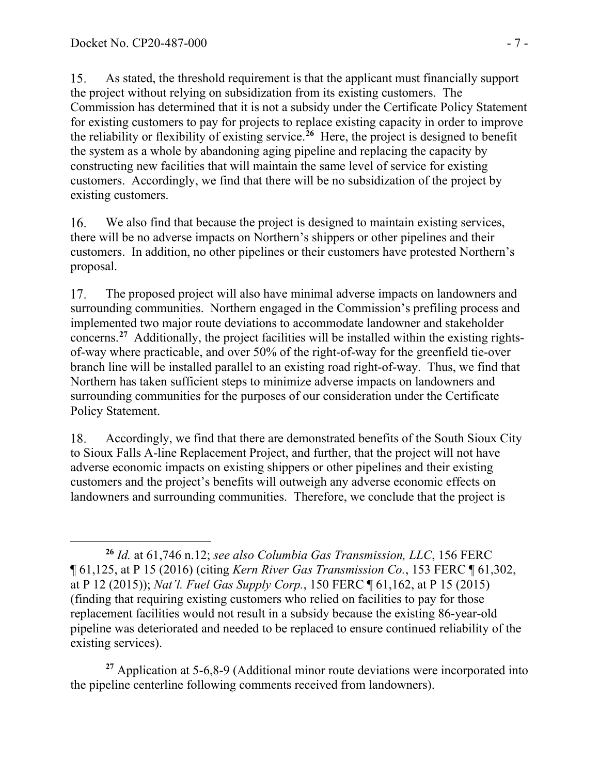15. As stated, the threshold requirement is that the applicant must financially support the project without relying on subsidization from its existing customers. The Commission has determined that it is not a subsidy under the Certificate Policy Statement for existing customers to pay for projects to replace existing capacity in order to improve the reliability or flexibility of existing service.**[26](#page-6-0)** Here, the project is designed to benefit the system as a whole by abandoning aging pipeline and replacing the capacity by constructing new facilities that will maintain the same level of service for existing customers. Accordingly, we find that there will be no subsidization of the project by existing customers.

16. We also find that because the project is designed to maintain existing services, there will be no adverse impacts on Northern's shippers or other pipelines and their customers. In addition, no other pipelines or their customers have protested Northern's proposal.

17. The proposed project will also have minimal adverse impacts on landowners and surrounding communities. Northern engaged in the Commission's prefiling process and implemented two major route deviations to accommodate landowner and stakeholder concerns. **[27](#page-6-1)** Additionally, the project facilities will be installed within the existing rightsof-way where practicable, and over 50% of the right-of-way for the greenfield tie-over branch line will be installed parallel to an existing road right-of-way. Thus, we find that Northern has taken sufficient steps to minimize adverse impacts on landowners and surrounding communities for the purposes of our consideration under the Certificate Policy Statement.

18. Accordingly, we find that there are demonstrated benefits of the South Sioux City to Sioux Falls A-line Replacement Project, and further, that the project will not have adverse economic impacts on existing shippers or other pipelines and their existing customers and the project's benefits will outweigh any adverse economic effects on landowners and surrounding communities. Therefore, we conclude that the project is

<span id="page-6-1"></span>**<sup>27</sup>** Application at 5-6,8-9 (Additional minor route deviations were incorporated into the pipeline centerline following comments received from landowners).

<span id="page-6-0"></span>**<sup>26</sup>** *Id.* at 61,746 n.12; *see also Columbia Gas Transmission, LLC*, 156 FERC ¶ 61,125, at P 15 (2016) (citing *Kern River Gas Transmission Co.*, 153 FERC ¶ 61,302, at P 12 (2015)); *Nat'l. Fuel Gas Supply Corp.*, 150 FERC ¶ 61,162, at P 15 (2015) (finding that requiring existing customers who relied on facilities to pay for those replacement facilities would not result in a subsidy because the existing 86-year-old pipeline was deteriorated and needed to be replaced to ensure continued reliability of the existing services).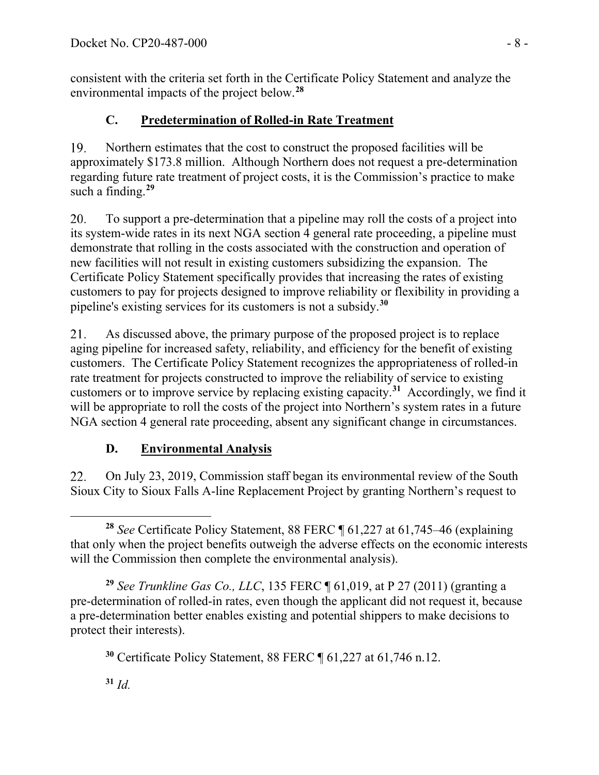consistent with the criteria set forth in the Certificate Policy Statement and analyze the environmental impacts of the project below. **[28](#page-7-0)**

# **C. Predetermination of Rolled-in Rate Treatment**

19. Northern estimates that the cost to construct the proposed facilities will be approximately \$173.8 million. Although Northern does not request a pre-determination regarding future rate treatment of project costs, it is the Commission's practice to make such a finding.**[29](#page-7-1)**

20. To support a pre-determination that a pipeline may roll the costs of a project into its system-wide rates in its next NGA section 4 general rate proceeding, a pipeline must demonstrate that rolling in the costs associated with the construction and operation of new facilities will not result in existing customers subsidizing the expansion. The Certificate Policy Statement specifically provides that increasing the rates of existing customers to pay for projects designed to improve reliability or flexibility in providing a pipeline's existing services for its customers is not a subsidy. **[30](#page-7-2)**

21. As discussed above, the primary purpose of the proposed project is to replace aging pipeline for increased safety, reliability, and efficiency for the benefit of existing customers. The Certificate Policy Statement recognizes the appropriateness of rolled-in rate treatment for projects constructed to improve the reliability of service to existing customers or to improve service by replacing existing capacity.**[31](#page-7-3)** Accordingly, we find it will be appropriate to roll the costs of the project into Northern's system rates in a future NGA section 4 general rate proceeding, absent any significant change in circumstances.

# **D. Environmental Analysis**

22. On July 23, 2019, Commission staff began its environmental review of the South Sioux City to Sioux Falls A-line Replacement Project by granting Northern's request to

<span id="page-7-0"></span>**<sup>28</sup>** *See* Certificate Policy Statement, 88 FERC ¶ 61,227 at 61,745–46 (explaining that only when the project benefits outweigh the adverse effects on the economic interests will the Commission then complete the environmental analysis).

<span id="page-7-2"></span><span id="page-7-1"></span>**<sup>29</sup>** *See Trunkline Gas Co., LLC*, 135 FERC ¶ 61,019, at P 27 (2011) (granting a pre-determination of rolled-in rates, even though the applicant did not request it, because a pre-determination better enables existing and potential shippers to make decisions to protect their interests).

**<sup>30</sup>** Certificate Policy Statement, 88 FERC ¶ 61,227 at 61,746 n.12.

<span id="page-7-3"></span>**<sup>31</sup>** *Id.*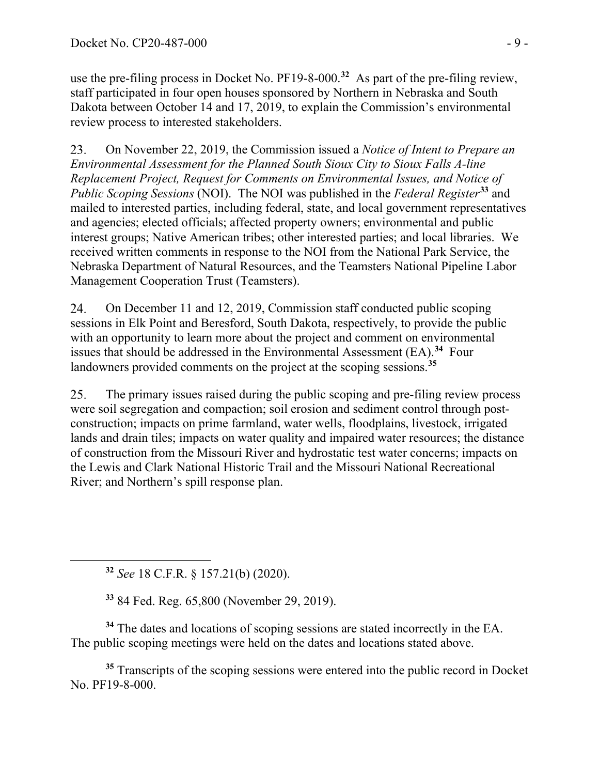use the pre-filing process in Docket No. PF19-8-000.**[32](#page-8-0)** As part of the pre-filing review, staff participated in four open houses sponsored by Northern in Nebraska and South Dakota between October 14 and 17, 2019, to explain the Commission's environmental review process to interested stakeholders.

On November 22, 2019, the Commission issued a *Notice of Intent to Prepare an*  23. *Environmental Assessment for the Planned South Sioux City to Sioux Falls A-line Replacement Project, Request for Comments on Environmental Issues, and Notice of Public Scoping Sessions* (NOI). The NOI was published in the *Federal Register***[33](#page-8-1)** and mailed to interested parties, including federal, state, and local government representatives and agencies; elected officials; affected property owners; environmental and public interest groups; Native American tribes; other interested parties; and local libraries. We received written comments in response to the NOI from the National Park Service, the Nebraska Department of Natural Resources, and the Teamsters National Pipeline Labor Management Cooperation Trust (Teamsters).

24. On December 11 and 12, 2019, Commission staff conducted public scoping sessions in Elk Point and Beresford, South Dakota, respectively, to provide the public with an opportunity to learn more about the project and comment on environmental issues that should be addressed in the Environmental Assessment (EA).**[34](#page-8-2)** Four landowners provided comments on the project at the scoping sessions.**[35](#page-8-3)**

25. The primary issues raised during the public scoping and pre-filing review process were soil segregation and compaction; soil erosion and sediment control through postconstruction; impacts on prime farmland, water wells, floodplains, livestock, irrigated lands and drain tiles; impacts on water quality and impaired water resources; the distance of construction from the Missouri River and hydrostatic test water concerns; impacts on the Lewis and Clark National Historic Trail and the Missouri National Recreational River; and Northern's spill response plan.

**<sup>32</sup>** *See* 18 C.F.R. § 157.21(b) (2020).

**<sup>33</sup>** 84 Fed. Reg. 65,800 (November 29, 2019).

<span id="page-8-2"></span><span id="page-8-1"></span><span id="page-8-0"></span>**<sup>34</sup>** The dates and locations of scoping sessions are stated incorrectly in the EA. The public scoping meetings were held on the dates and locations stated above.

<span id="page-8-3"></span><sup>35</sup> Transcripts of the scoping sessions were entered into the public record in Docket No. PF19-8-000.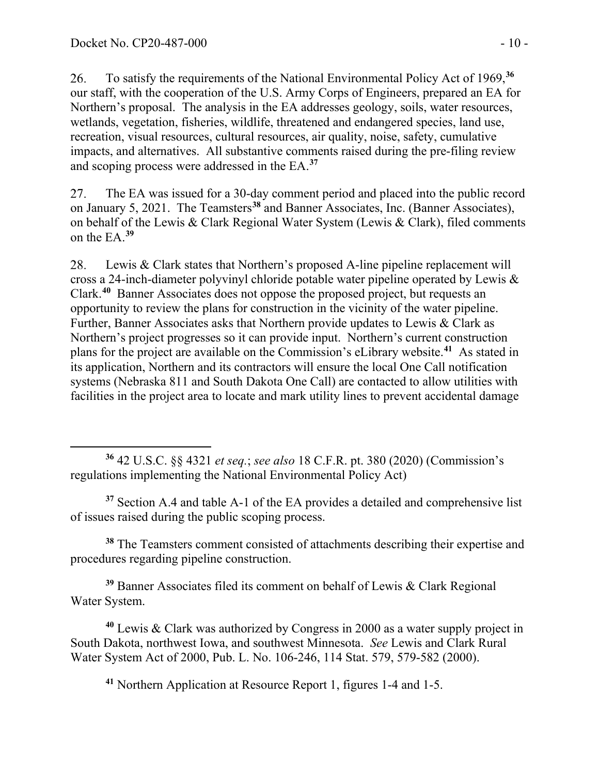To satisfy the requirements of the National Environmental Policy Act of 1969,**[36](#page-9-0)** 26. our staff, with the cooperation of the U.S. Army Corps of Engineers, prepared an EA for Northern's proposal. The analysis in the EA addresses geology, soils, water resources, wetlands, vegetation, fisheries, wildlife, threatened and endangered species, land use, recreation, visual resources, cultural resources, air quality, noise, safety, cumulative impacts, and alternatives. All substantive comments raised during the pre-filing review and scoping process were addressed in the EA.**[37](#page-9-1)**

The EA was issued for a 30-day comment period and placed into the public record 27. on January 5, 2021. The Teamsters**[38](#page-9-2)** and Banner Associates, Inc. (Banner Associates), on behalf of the Lewis & Clark Regional Water System (Lewis & Clark), filed comments on the EA. **[39](#page-9-3)**

28. Lewis & Clark states that Northern's proposed A-line pipeline replacement will cross a 24-inch-diameter polyvinyl chloride potable water pipeline operated by Lewis & Clark. **[40](#page-9-4)** Banner Associates does not oppose the proposed project, but requests an opportunity to review the plans for construction in the vicinity of the water pipeline. Further, Banner Associates asks that Northern provide updates to Lewis & Clark as Northern's project progresses so it can provide input. Northern's current construction plans for the project are available on the Commission's eLibrary website.**[41](#page-9-5)** As stated in its application, Northern and its contractors will ensure the local One Call notification systems (Nebraska 811 and South Dakota One Call) are contacted to allow utilities with facilities in the project area to locate and mark utility lines to prevent accidental damage

<span id="page-9-0"></span>**<sup>36</sup>** 42 U.S.C. §§ 4321 *et seq.*; *see also* 18 C.F.R. pt. 380 (2020) (Commission's regulations implementing the National Environmental Policy Act)

<span id="page-9-1"></span>**<sup>37</sup>** Section A.4 and table A-1 of the EA provides a detailed and comprehensive list of issues raised during the public scoping process.

<span id="page-9-2"></span>**<sup>38</sup>** The Teamsters comment consisted of attachments describing their expertise and procedures regarding pipeline construction.

<span id="page-9-3"></span>**<sup>39</sup>** Banner Associates filed its comment on behalf of Lewis & Clark Regional Water System.

<span id="page-9-5"></span><span id="page-9-4"></span>**<sup>40</sup>** Lewis & Clark was authorized by Congress in 2000 as a water supply project in South Dakota, northwest Iowa, and southwest Minnesota. *See* Lewis and Clark Rural Water System Act of 2000, Pub. L. No. 106-246, 114 Stat. 579, 579-582 (2000).

**<sup>41</sup>** Northern Application at Resource Report 1, figures 1-4 and 1-5.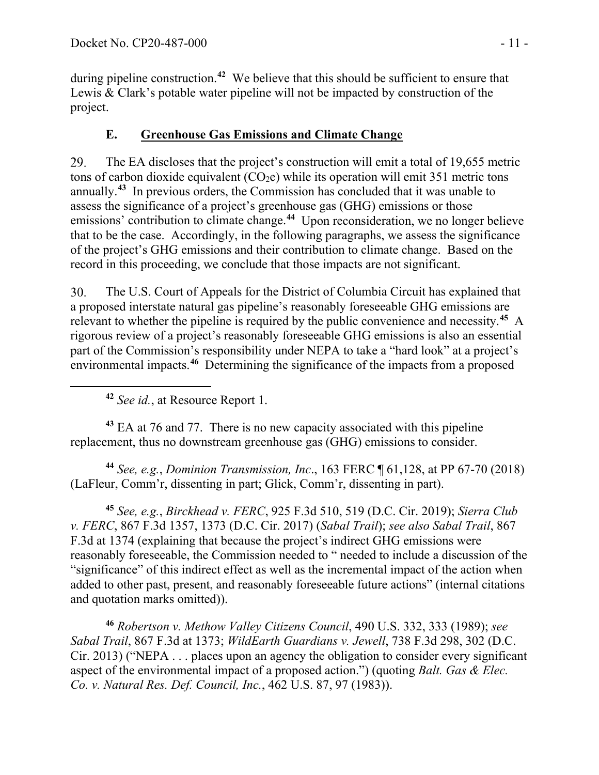during pipeline construction.<sup>[42](#page-10-0)</sup> We believe that this should be sufficient to ensure that Lewis & Clark's potable water pipeline will not be impacted by construction of the project.

## **E. Greenhouse Gas Emissions and Climate Change**

29. The EA discloses that the project's construction will emit a total of 19,655 metric tons of carbon dioxide equivalent  $(CO<sub>2</sub>e)$  while its operation will emit 351 metric tons annually.**[43](#page-10-1)** In previous orders, the Commission has concluded that it was unable to assess the significance of a project's greenhouse gas (GHG) emissions or those emissions' contribution to climate change.**[44](#page-10-2)** Upon reconsideration, we no longer believe that to be the case. Accordingly, in the following paragraphs, we assess the significance of the project's GHG emissions and their contribution to climate change. Based on the record in this proceeding, we conclude that those impacts are not significant.

 $30.$ The U.S. Court of Appeals for the District of Columbia Circuit has explained that a proposed interstate natural gas pipeline's reasonably foreseeable GHG emissions are relevant to whether the pipeline is required by the public convenience and necessity.**[45](#page-10-3)** A rigorous review of a project's reasonably foreseeable GHG emissions is also an essential part of the Commission's responsibility under NEPA to take a "hard look" at a project's environmental impacts.**[46](#page-10-4)** Determining the significance of the impacts from a proposed

<span id="page-10-1"></span><span id="page-10-0"></span>**<sup>43</sup>** EA at 76 and 77. There is no new capacity associated with this pipeline replacement, thus no downstream greenhouse gas (GHG) emissions to consider.

<span id="page-10-2"></span>**<sup>44</sup>** *See, e.g.*, *Dominion Transmission, Inc*., 163 FERC ¶ 61,128, at PP 67-70 (2018) (LaFleur, Comm'r, dissenting in part; Glick, Comm'r, dissenting in part).

<span id="page-10-3"></span>**<sup>45</sup>** *See, e.g.*, *Birckhead v. FERC*, 925 F.3d 510, 519 (D.C. Cir. 2019); *Sierra Club v. FERC*, 867 F.3d 1357, 1373 (D.C. Cir. 2017) (*Sabal Trail*); *see also Sabal Trail*, 867 F.3d at 1374 (explaining that because the project's indirect GHG emissions were reasonably foreseeable, the Commission needed to " needed to include a discussion of the "significance" of this indirect effect as well as the incremental impact of the action when added to other past, present, and reasonably foreseeable future actions" (internal citations and quotation marks omitted)).

<span id="page-10-4"></span>**<sup>46</sup>** *Robertson v. Methow Valley Citizens Council*, 490 U.S. 332, 333 (1989); *see Sabal Trail*, 867 F.3d at 1373; *WildEarth Guardians v. Jewell*, 738 F.3d 298, 302 (D.C. Cir. 2013) ("NEPA . . . places upon an agency the obligation to consider every significant aspect of the environmental impact of a proposed action.") (quoting *Balt. Gas & Elec. Co. v. Natural Res. Def. Council, Inc.*, 462 U.S. 87, 97 (1983)).

**<sup>42</sup>** *See id.*, at Resource Report 1.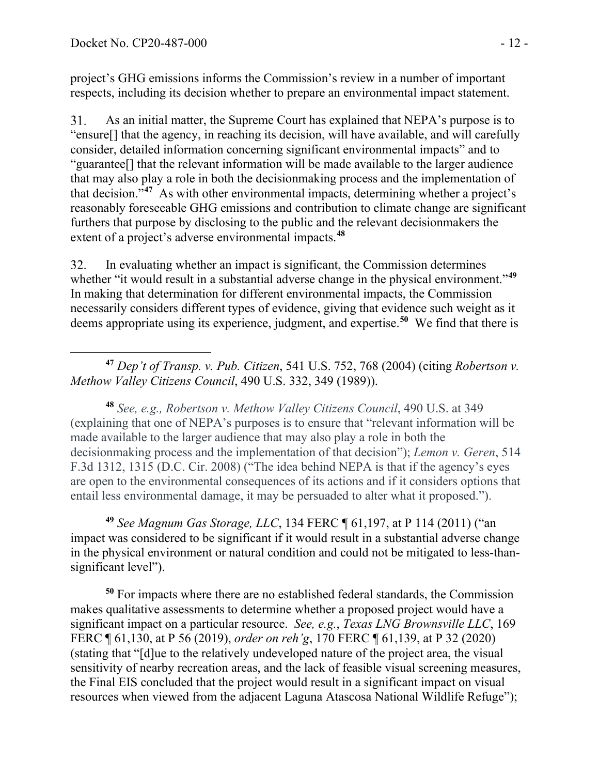project's GHG emissions informs the Commission's review in a number of important respects, including its decision whether to prepare an environmental impact statement.

 $31.$ As an initial matter, the Supreme Court has explained that NEPA's purpose is to "ensure[] that the agency, in reaching its decision, will have available, and will carefully consider, detailed information concerning significant environmental impacts" and to "guarantee[] that the relevant information will be made available to the larger audience that may also play a role in both the decisionmaking process and the implementation of that decision."**[47](#page-11-0)** As with other environmental impacts, determining whether a project's reasonably foreseeable GHG emissions and contribution to climate change are significant furthers that purpose by disclosing to the public and the relevant decisionmakers the extent of a project's adverse environmental impacts.**[48](#page-11-1)**

In evaluating whether an impact is significant, the Commission determines 32. whether "it would result in a substantial adverse change in the physical environment."<sup>[49](#page-11-2)</sup> In making that determination for different environmental impacts, the Commission necessarily considers different types of evidence, giving that evidence such weight as it deems appropriate using its experience, judgment, and expertise.**[50](#page-11-3)** We find that there is

<span id="page-11-0"></span>**<sup>47</sup>** *Dep't of Transp. v. Pub. Citizen*, 541 U.S. 752, 768 (2004) (citing *Robertson v. Methow Valley Citizens Council*, 490 U.S. 332, 349 (1989)).

<span id="page-11-1"></span>**<sup>48</sup>** *See, e.g., Robertson v. Methow Valley Citizens Council*, 490 U.S. at 349 (explaining that one of NEPA's purposes is to ensure that "relevant information will be made available to the larger audience that may also play a role in both the decisionmaking process and the implementation of that decision"); *Lemon v. Geren*, 514 F.3d 1312, 1315 (D.C. Cir. 2008) ("The idea behind NEPA is that if the agency's eyes are open to the environmental consequences of its actions and if it considers options that entail less environmental damage, it may be persuaded to alter what it proposed.").

<span id="page-11-2"></span>**<sup>49</sup>** *See Magnum Gas Storage, LLC*, 134 FERC ¶ 61,197, at P 114 (2011) ("an impact was considered to be significant if it would result in a substantial adverse change in the physical environment or natural condition and could not be mitigated to less-thansignificant level").

<span id="page-11-3"></span>**<sup>50</sup>** For impacts where there are no established federal standards, the Commission makes qualitative assessments to determine whether a proposed project would have a significant impact on a particular resource. *See, e.g.*, *Texas LNG Brownsville LLC*, 169 FERC ¶ 61,130, at P 56 (2019), *order on reh'g*, 170 FERC ¶ 61,139, at P 32 (2020) (stating that "[d]ue to the relatively undeveloped nature of the project area, the visual sensitivity of nearby recreation areas, and the lack of feasible visual screening measures, the Final EIS concluded that the project would result in a significant impact on visual resources when viewed from the adjacent Laguna Atascosa National Wildlife Refuge");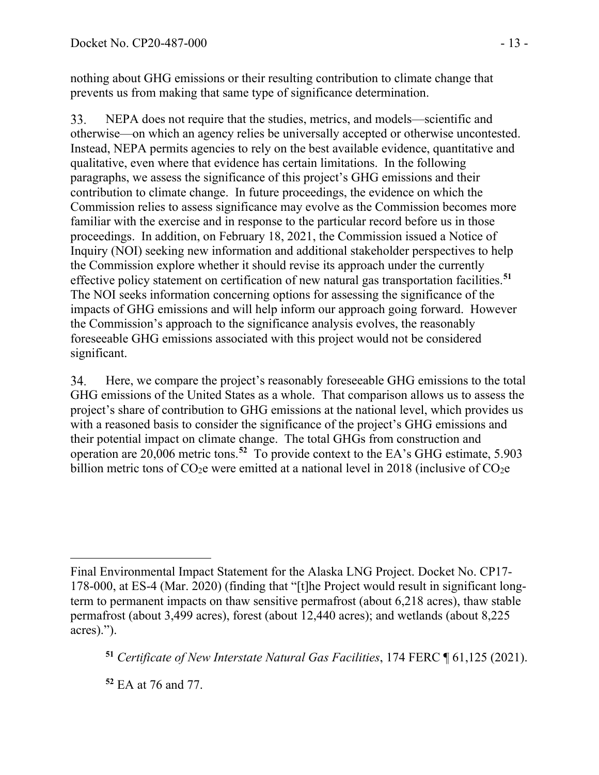nothing about GHG emissions or their resulting contribution to climate change that prevents us from making that same type of significance determination.

NEPA does not require that the studies, metrics, and models—scientific and 33. otherwise—on which an agency relies be universally accepted or otherwise uncontested. Instead, NEPA permits agencies to rely on the best available evidence, quantitative and qualitative, even where that evidence has certain limitations. In the following paragraphs, we assess the significance of this project's GHG emissions and their contribution to climate change. In future proceedings, the evidence on which the Commission relies to assess significance may evolve as the Commission becomes more familiar with the exercise and in response to the particular record before us in those proceedings. In addition, on February 18, 2021, the Commission issued a Notice of Inquiry (NOI) seeking new information and additional stakeholder perspectives to help the Commission explore whether it should revise its approach under the currently effective policy statement on certification of new natural gas transportation facilities.**[51](#page-12-0)** The NOI seeks information concerning options for assessing the significance of the impacts of GHG emissions and will help inform our approach going forward. However the Commission's approach to the significance analysis evolves, the reasonably foreseeable GHG emissions associated with this project would not be considered significant.

Here, we compare the project's reasonably foreseeable GHG emissions to the total 34. GHG emissions of the United States as a whole. That comparison allows us to assess the project's share of contribution to GHG emissions at the national level, which provides us with a reasoned basis to consider the significance of the project's GHG emissions and their potential impact on climate change. The total GHGs from construction and operation are 20,006 metric tons.**[52](#page-12-1)** To provide context to the EA's GHG estimate, 5.903 billion metric tons of  $CO<sub>2</sub>e$  were emitted at a national level in 2018 (inclusive of  $CO<sub>2</sub>e$ 

<span id="page-12-0"></span>**<sup>51</sup>** *Certificate of New Interstate Natural Gas Facilities*, 174 FERC ¶ 61,125 (2021).

<span id="page-12-1"></span>**<sup>52</sup>** EA at 76 and 77.

Final Environmental Impact Statement for the Alaska LNG Project. Docket No. CP17- 178-000, at ES-4 (Mar. 2020) (finding that "[t]he Project would result in significant longterm to permanent impacts on thaw sensitive permafrost (about 6,218 acres), thaw stable permafrost (about 3,499 acres), forest (about 12,440 acres); and wetlands (about 8,225 acres).").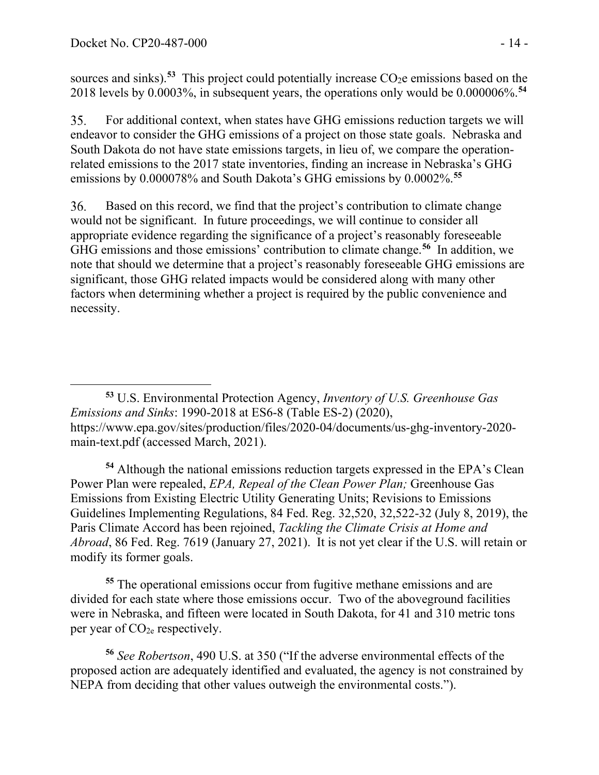sources and sinks).<sup>[53](#page-13-0)</sup> This project could potentially increase  $CO<sub>2</sub>e$  emissions based on the 2018 levels by 0.0003%, in subsequent years, the operations only would be 0.000006%. **[54](#page-13-1)**

For additional context, when states have GHG emissions reduction targets we will 35. endeavor to consider the GHG emissions of a project on those state goals. Nebraska and South Dakota do not have state emissions targets, in lieu of, we compare the operationrelated emissions to the 2017 state inventories, finding an increase in Nebraska's GHG emissions by 0.000078% and South Dakota's GHG emissions by 0.0002%. **[55](#page-13-2)**

Based on this record, we find that the project's contribution to climate change 36. would not be significant. In future proceedings, we will continue to consider all appropriate evidence regarding the significance of a project's reasonably foreseeable GHG emissions and those emissions' contribution to climate change.**[56](#page-13-3)** In addition, we note that should we determine that a project's reasonably foreseeable GHG emissions are significant, those GHG related impacts would be considered along with many other factors when determining whether a project is required by the public convenience and necessity.

<span id="page-13-0"></span>**<sup>53</sup>** U.S. Environmental Protection Agency, *Inventory of U.S. Greenhouse Gas Emissions and Sinks*: 1990-2018 at ES6-8 (Table ES-2) (2020), https://www.epa.gov/sites/production/files/2020-04/documents/us-ghg-inventory-2020 main-text.pdf (accessed March, 2021).

<span id="page-13-1"></span>**<sup>54</sup>** Although the national emissions reduction targets expressed in the EPA's Clean Power Plan were repealed, *EPA, Repeal of the Clean Power Plan;* Greenhouse Gas Emissions from Existing Electric Utility Generating Units; Revisions to Emissions Guidelines Implementing Regulations, 84 Fed. Reg. 32,520, 32,522-32 (July 8, 2019), the Paris Climate Accord has been rejoined, *Tackling the Climate Crisis at Home and Abroad*, 86 Fed. Reg. 7619 (January 27, 2021). It is not yet clear if the U.S. will retain or modify its former goals.

<span id="page-13-2"></span>**<sup>55</sup>** The operational emissions occur from fugitive methane emissions and are divided for each state where those emissions occur. Two of the aboveground facilities were in Nebraska, and fifteen were located in South Dakota, for 41 and 310 metric tons per year of  $CO<sub>2e</sub>$  respectively.

<span id="page-13-3"></span>**<sup>56</sup>** *See Robertson*, 490 U.S. at 350 ("If the adverse environmental effects of the proposed action are adequately identified and evaluated, the agency is not constrained by NEPA from deciding that other values outweigh the environmental costs.").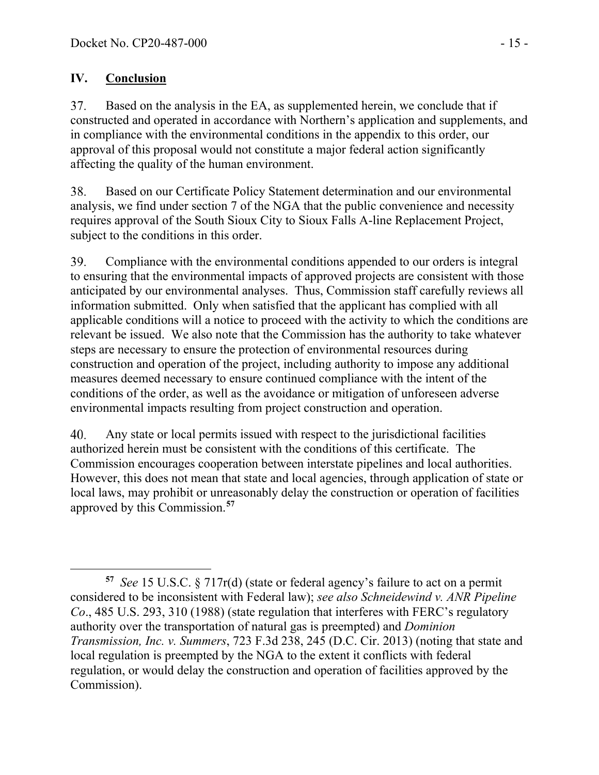## **IV. Conclusion**

37. Based on the analysis in the EA, as supplemented herein, we conclude that if constructed and operated in accordance with Northern's application and supplements, and in compliance with the environmental conditions in the appendix to this order, our approval of this proposal would not constitute a major federal action significantly affecting the quality of the human environment.

Based on our Certificate Policy Statement determination and our environmental 38. analysis, we find under section 7 of the NGA that the public convenience and necessity requires approval of the South Sioux City to Sioux Falls A-line Replacement Project, subject to the conditions in this order.

39. Compliance with the environmental conditions appended to our orders is integral to ensuring that the environmental impacts of approved projects are consistent with those anticipated by our environmental analyses. Thus, Commission staff carefully reviews all information submitted. Only when satisfied that the applicant has complied with all applicable conditions will a notice to proceed with the activity to which the conditions are relevant be issued. We also note that the Commission has the authority to take whatever steps are necessary to ensure the protection of environmental resources during construction and operation of the project, including authority to impose any additional measures deemed necessary to ensure continued compliance with the intent of the conditions of the order, as well as the avoidance or mitigation of unforeseen adverse environmental impacts resulting from project construction and operation.

Any state or local permits issued with respect to the jurisdictional facilities 40. authorized herein must be consistent with the conditions of this certificate. The Commission encourages cooperation between interstate pipelines and local authorities. However, this does not mean that state and local agencies, through application of state or local laws, may prohibit or unreasonably delay the construction or operation of facilities approved by this Commission.**[57](#page-14-0)**

<span id="page-14-0"></span>**<sup>57</sup>** *See* 15 U.S.C. § 717r(d) (state or federal agency's failure to act on a permit considered to be inconsistent with Federal law); *see also Schneidewind v. ANR Pipeline Co*., 485 U.S. 293, 310 (1988) (state regulation that interferes with FERC's regulatory authority over the transportation of natural gas is preempted) and *Dominion Transmission, Inc. v. Summers*, 723 F.3d 238, 245 (D.C. Cir. 2013) (noting that state and local regulation is preempted by the NGA to the extent it conflicts with federal regulation, or would delay the construction and operation of facilities approved by the Commission).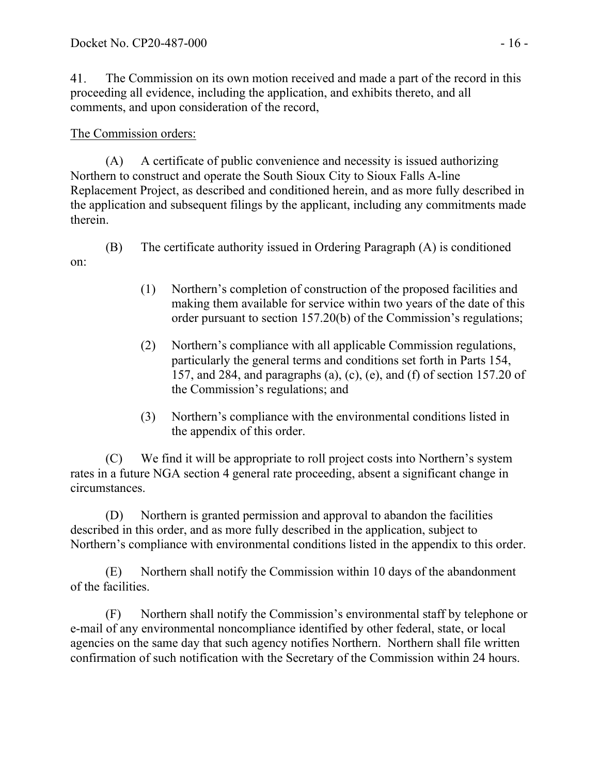41. The Commission on its own motion received and made a part of the record in this proceeding all evidence, including the application, and exhibits thereto, and all comments, and upon consideration of the record,

### The Commission orders:

on:

(A) A certificate of public convenience and necessity is issued authorizing Northern to construct and operate the South Sioux City to Sioux Falls A-line Replacement Project, as described and conditioned herein, and as more fully described in the application and subsequent filings by the applicant, including any commitments made therein.

- (B) The certificate authority issued in Ordering Paragraph (A) is conditioned
	- (1) Northern's completion of construction of the proposed facilities and making them available for service within two years of the date of this order pursuant to section 157.20(b) of the Commission's regulations;
	- (2) Northern's compliance with all applicable Commission regulations, particularly the general terms and conditions set forth in Parts 154, 157, and 284, and paragraphs (a), (c), (e), and (f) of section 157.20 of the Commission's regulations; and
	- (3) Northern's compliance with the environmental conditions listed in the appendix of this order.

(C) We find it will be appropriate to roll project costs into Northern's system rates in a future NGA section 4 general rate proceeding, absent a significant change in circumstances.

(D) Northern is granted permission and approval to abandon the facilities described in this order, and as more fully described in the application, subject to Northern's compliance with environmental conditions listed in the appendix to this order.

(E) Northern shall notify the Commission within 10 days of the abandonment of the facilities.

(F) Northern shall notify the Commission's environmental staff by telephone or e-mail of any environmental noncompliance identified by other federal, state, or local agencies on the same day that such agency notifies Northern. Northern shall file written confirmation of such notification with the Secretary of the Commission within 24 hours.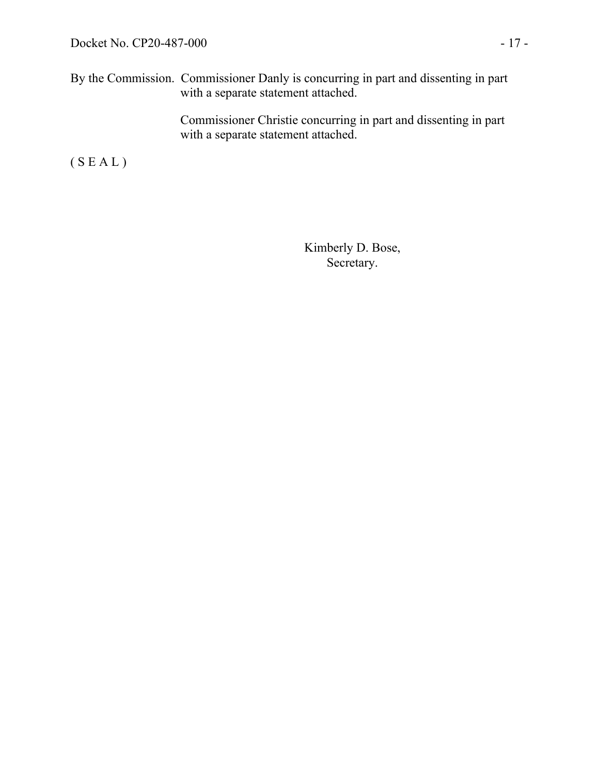By the Commission. Commissioner Danly is concurring in part and dissenting in part with a separate statement attached.

> Commissioner Christie concurring in part and dissenting in part with a separate statement attached.

 $(S E A L)$ 

Kimberly D. Bose, Secretary.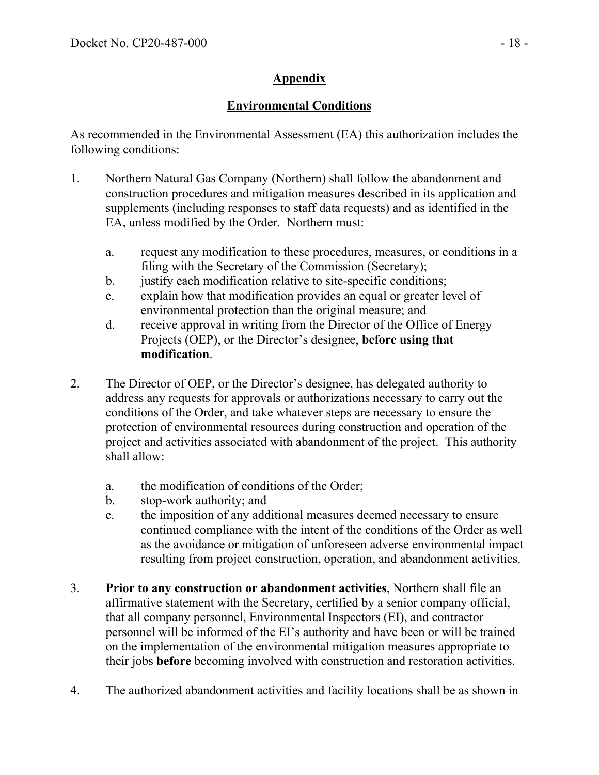# **Appendix**

# **Environmental Conditions**

As recommended in the Environmental Assessment (EA) this authorization includes the following conditions:

- 1. Northern Natural Gas Company (Northern) shall follow the abandonment and construction procedures and mitigation measures described in its application and supplements (including responses to staff data requests) and as identified in the EA, unless modified by the Order. Northern must:
	- a. request any modification to these procedures, measures, or conditions in a filing with the Secretary of the Commission (Secretary);
	- b. justify each modification relative to site-specific conditions;
	- c. explain how that modification provides an equal or greater level of environmental protection than the original measure; and
	- d. receive approval in writing from the Director of the Office of Energy Projects (OEP), or the Director's designee, **before using that modification**.
- 2. The Director of OEP, or the Director's designee, has delegated authority to address any requests for approvals or authorizations necessary to carry out the conditions of the Order, and take whatever steps are necessary to ensure the protection of environmental resources during construction and operation of the project and activities associated with abandonment of the project. This authority shall allow:
	- a. the modification of conditions of the Order;
	- b. stop-work authority; and
	- c. the imposition of any additional measures deemed necessary to ensure continued compliance with the intent of the conditions of the Order as well as the avoidance or mitigation of unforeseen adverse environmental impact resulting from project construction, operation, and abandonment activities.
- 3. **Prior to any construction or abandonment activities**, Northern shall file an affirmative statement with the Secretary, certified by a senior company official, that all company personnel, Environmental Inspectors (EI), and contractor personnel will be informed of the EI's authority and have been or will be trained on the implementation of the environmental mitigation measures appropriate to their jobs **before** becoming involved with construction and restoration activities.
- 4. The authorized abandonment activities and facility locations shall be as shown in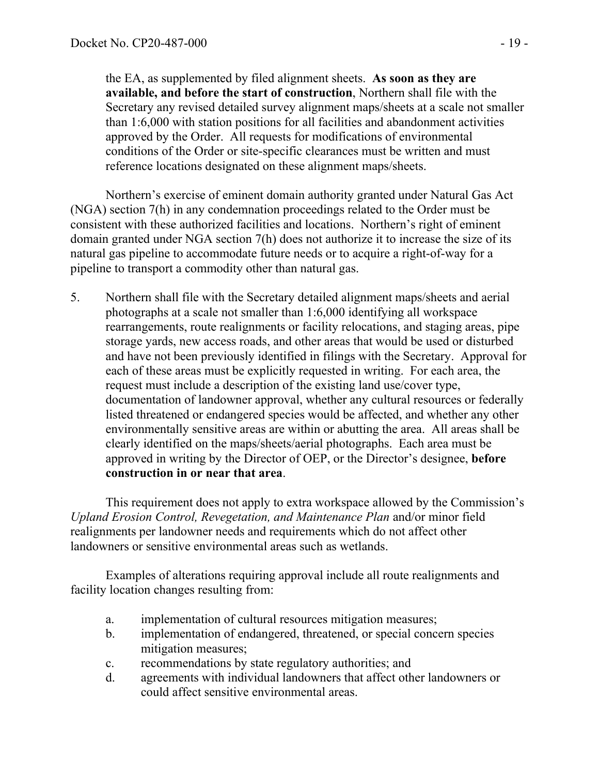the EA, as supplemented by filed alignment sheets. **As soon as they are available, and before the start of construction**, Northern shall file with the Secretary any revised detailed survey alignment maps/sheets at a scale not smaller than 1:6,000 with station positions for all facilities and abandonment activities approved by the Order. All requests for modifications of environmental conditions of the Order or site-specific clearances must be written and must reference locations designated on these alignment maps/sheets.

Northern's exercise of eminent domain authority granted under Natural Gas Act (NGA) section 7(h) in any condemnation proceedings related to the Order must be consistent with these authorized facilities and locations. Northern's right of eminent domain granted under NGA section 7(h) does not authorize it to increase the size of its natural gas pipeline to accommodate future needs or to acquire a right-of-way for a pipeline to transport a commodity other than natural gas.

5. Northern shall file with the Secretary detailed alignment maps/sheets and aerial photographs at a scale not smaller than 1:6,000 identifying all workspace rearrangements, route realignments or facility relocations, and staging areas, pipe storage yards, new access roads, and other areas that would be used or disturbed and have not been previously identified in filings with the Secretary. Approval for each of these areas must be explicitly requested in writing. For each area, the request must include a description of the existing land use/cover type, documentation of landowner approval, whether any cultural resources or federally listed threatened or endangered species would be affected, and whether any other environmentally sensitive areas are within or abutting the area. All areas shall be clearly identified on the maps/sheets/aerial photographs. Each area must be approved in writing by the Director of OEP, or the Director's designee, **before construction in or near that area**.

This requirement does not apply to extra workspace allowed by the Commission's *Upland Erosion Control, Revegetation, and Maintenance Plan* and/or minor field realignments per landowner needs and requirements which do not affect other landowners or sensitive environmental areas such as wetlands.

Examples of alterations requiring approval include all route realignments and facility location changes resulting from:

- a. implementation of cultural resources mitigation measures;
- b. implementation of endangered, threatened, or special concern species mitigation measures;
- c. recommendations by state regulatory authorities; and
- d. agreements with individual landowners that affect other landowners or could affect sensitive environmental areas.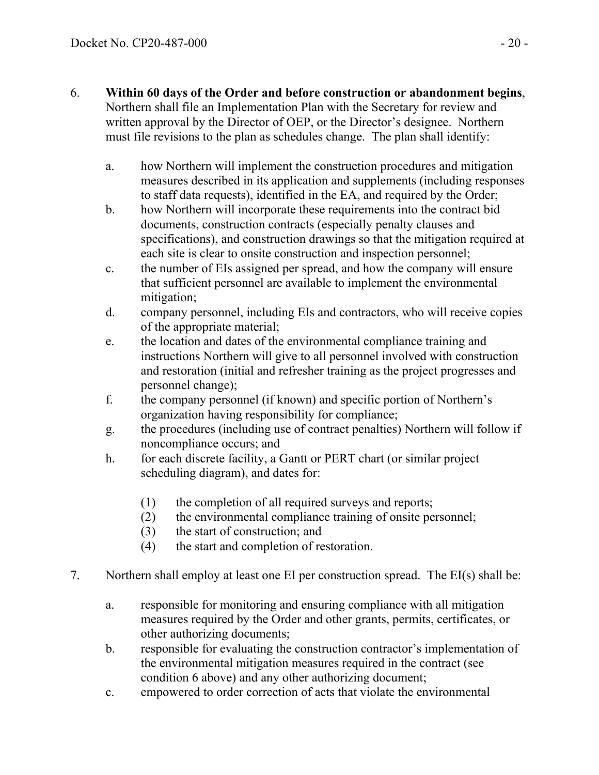- 6. **Within 60 days of the Order and before construction or abandonment begins**, Northern shall file an Implementation Plan with the Secretary for review and written approval by the Director of OEP, or the Director's designee. Northern must file revisions to the plan as schedules change. The plan shall identify:
	- a. how Northern will implement the construction procedures and mitigation measures described in its application and supplements (including responses to staff data requests), identified in the EA, and required by the Order;
	- b. how Northern will incorporate these requirements into the contract bid documents, construction contracts (especially penalty clauses and specifications), and construction drawings so that the mitigation required at each site is clear to onsite construction and inspection personnel;
	- c. the number of EIs assigned per spread, and how the company will ensure that sufficient personnel are available to implement the environmental mitigation;
	- d. company personnel, including EIs and contractors, who will receive copies of the appropriate material;
	- e. the location and dates of the environmental compliance training and instructions Northern will give to all personnel involved with construction and restoration (initial and refresher training as the project progresses and personnel change);
	- f. the company personnel (if known) and specific portion of Northern's organization having responsibility for compliance;
	- g. the procedures (including use of contract penalties) Northern will follow if noncompliance occurs; and
	- h. for each discrete facility, a Gantt or PERT chart (or similar project scheduling diagram), and dates for:
		- (1) the completion of all required surveys and reports;
		- (2) the environmental compliance training of onsite personnel;
		- (3) the start of construction; and
		- (4) the start and completion of restoration.
- 7. Northern shall employ at least one EI per construction spread. The EI(s) shall be:
	- a. responsible for monitoring and ensuring compliance with all mitigation measures required by the Order and other grants, permits, certificates, or other authorizing documents;
	- b. responsible for evaluating the construction contractor's implementation of the environmental mitigation measures required in the contract (see condition 6 above) and any other authorizing document;
	- c. empowered to order correction of acts that violate the environmental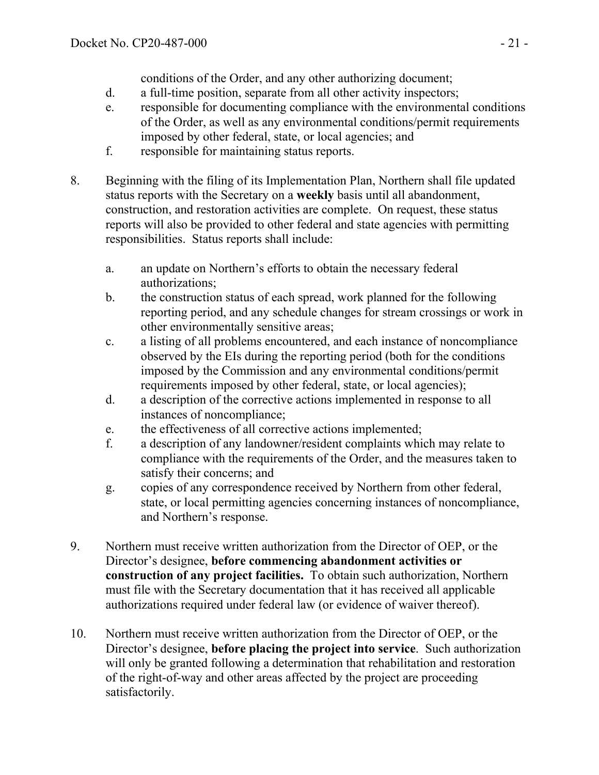conditions of the Order, and any other authorizing document;

- d. a full-time position, separate from all other activity inspectors;
- e. responsible for documenting compliance with the environmental conditions of the Order, as well as any environmental conditions/permit requirements imposed by other federal, state, or local agencies; and
- f. responsible for maintaining status reports.
- 8. Beginning with the filing of its Implementation Plan, Northern shall file updated status reports with the Secretary on a **weekly** basis until all abandonment, construction, and restoration activities are complete. On request, these status reports will also be provided to other federal and state agencies with permitting responsibilities. Status reports shall include:
	- a. an update on Northern's efforts to obtain the necessary federal authorizations;
	- b. the construction status of each spread, work planned for the following reporting period, and any schedule changes for stream crossings or work in other environmentally sensitive areas;
	- c. a listing of all problems encountered, and each instance of noncompliance observed by the EIs during the reporting period (both for the conditions imposed by the Commission and any environmental conditions/permit requirements imposed by other federal, state, or local agencies);
	- d. a description of the corrective actions implemented in response to all instances of noncompliance;
	- e. the effectiveness of all corrective actions implemented;
	- f. a description of any landowner/resident complaints which may relate to compliance with the requirements of the Order, and the measures taken to satisfy their concerns; and
	- g. copies of any correspondence received by Northern from other federal, state, or local permitting agencies concerning instances of noncompliance, and Northern's response.
- 9. Northern must receive written authorization from the Director of OEP, or the Director's designee, **before commencing abandonment activities or construction of any project facilities.** To obtain such authorization, Northern must file with the Secretary documentation that it has received all applicable authorizations required under federal law (or evidence of waiver thereof).
- 10. Northern must receive written authorization from the Director of OEP, or the Director's designee, **before placing the project into service**. Such authorization will only be granted following a determination that rehabilitation and restoration of the right-of-way and other areas affected by the project are proceeding satisfactorily.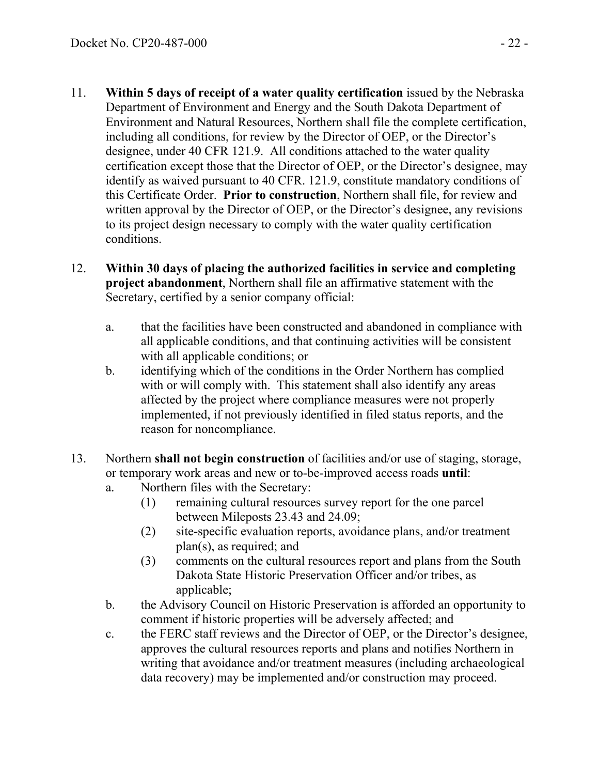- 11. **Within 5 days of receipt of a water quality certification** issued by the Nebraska Department of Environment and Energy and the South Dakota Department of Environment and Natural Resources, Northern shall file the complete certification, including all conditions, for review by the Director of OEP, or the Director's designee, under 40 CFR 121.9. All conditions attached to the water quality certification except those that the Director of OEP, or the Director's designee, may identify as waived pursuant to 40 CFR. 121.9, constitute mandatory conditions of this Certificate Order. **Prior to construction**, Northern shall file, for review and written approval by the Director of OEP, or the Director's designee, any revisions to its project design necessary to comply with the water quality certification conditions.
- 12. **Within 30 days of placing the authorized facilities in service and completing project abandonment**, Northern shall file an affirmative statement with the Secretary, certified by a senior company official:
	- a. that the facilities have been constructed and abandoned in compliance with all applicable conditions, and that continuing activities will be consistent with all applicable conditions; or
	- b. identifying which of the conditions in the Order Northern has complied with or will comply with. This statement shall also identify any areas affected by the project where compliance measures were not properly implemented, if not previously identified in filed status reports, and the reason for noncompliance.
- 13. Northern **shall not begin construction** of facilities and/or use of staging, storage, or temporary work areas and new or to-be-improved access roads **until**:
	- a. Northern files with the Secretary:
		- (1) remaining cultural resources survey report for the one parcel between Mileposts 23.43 and 24.09;
		- (2) site-specific evaluation reports, avoidance plans, and/or treatment plan(s), as required; and
		- (3) comments on the cultural resources report and plans from the South Dakota State Historic Preservation Officer and/or tribes, as applicable;
	- b. the Advisory Council on Historic Preservation is afforded an opportunity to comment if historic properties will be adversely affected; and
	- c. the FERC staff reviews and the Director of OEP, or the Director's designee, approves the cultural resources reports and plans and notifies Northern in writing that avoidance and/or treatment measures (including archaeological data recovery) may be implemented and/or construction may proceed.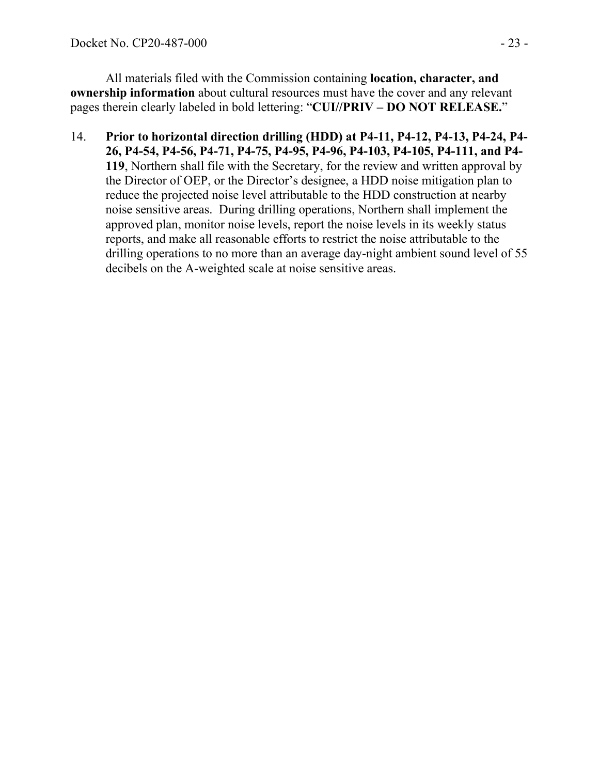All materials filed with the Commission containing **location, character, and ownership information** about cultural resources must have the cover and any relevant pages therein clearly labeled in bold lettering: "**CUI//PRIV – DO NOT RELEASE.**"

14. **Prior to horizontal direction drilling (HDD) at P4-11, P4-12, P4-13, P4-24, P4- 26, P4-54, P4-56, P4-71, P4-75, P4-95, P4-96, P4-103, P4-105, P4-111, and P4- 119**, Northern shall file with the Secretary, for the review and written approval by the Director of OEP, or the Director's designee, a HDD noise mitigation plan to reduce the projected noise level attributable to the HDD construction at nearby noise sensitive areas. During drilling operations, Northern shall implement the approved plan, monitor noise levels, report the noise levels in its weekly status reports, and make all reasonable efforts to restrict the noise attributable to the drilling operations to no more than an average day-night ambient sound level of 55 decibels on the A-weighted scale at noise sensitive areas.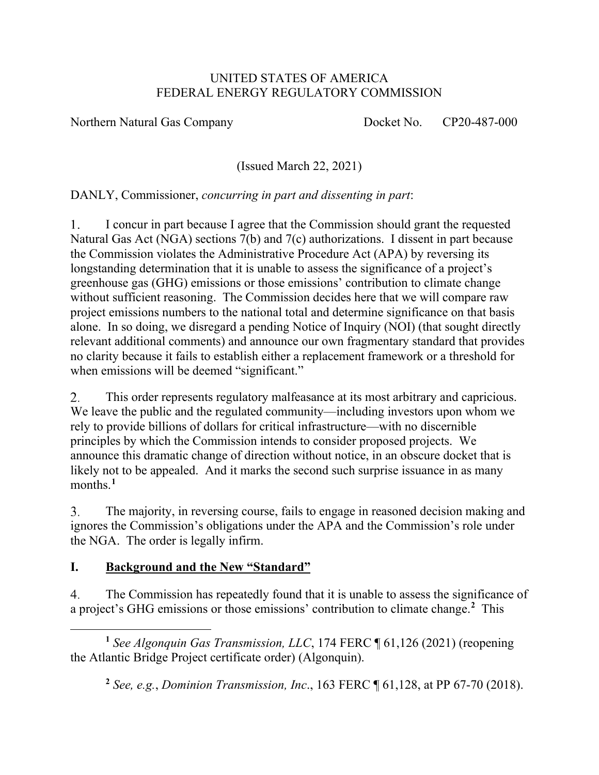#### UNITED STATES OF AMERICA FEDERAL ENERGY REGULATORY COMMISSION

Northern Natural Gas Company Docket No. CP20-487-000

(Issued March 22, 2021)

DANLY, Commissioner, *concurring in part and dissenting in part*:

I concur in part because I agree that the Commission should grant the requested  $1_{\cdot}$ Natural Gas Act (NGA) sections 7(b) and 7(c) authorizations. I dissent in part because the Commission violates the Administrative Procedure Act (APA) by reversing its longstanding determination that it is unable to assess the significance of a project's greenhouse gas (GHG) emissions or those emissions' contribution to climate change without sufficient reasoning. The Commission decides here that we will compare raw project emissions numbers to the national total and determine significance on that basis alone. In so doing, we disregard a pending Notice of Inquiry (NOI) (that sought directly relevant additional comments) and announce our own fragmentary standard that provides no clarity because it fails to establish either a replacement framework or a threshold for when emissions will be deemed "significant."

2. This order represents regulatory malfeasance at its most arbitrary and capricious. We leave the public and the regulated community—including investors upon whom we rely to provide billions of dollars for critical infrastructure—with no discernible principles by which the Commission intends to consider proposed projects. We announce this dramatic change of direction without notice, in an obscure docket that is likely not to be appealed. And it marks the second such surprise issuance in as many months.**[1](#page-23-0)**

 $\overline{3}$ . The majority, in reversing course, fails to engage in reasoned decision making and ignores the Commission's obligations under the APA and the Commission's role under the NGA. The order is legally infirm.

### **I. Background and the New "Standard"**

The Commission has repeatedly found that it is unable to assess the significance of  $\overline{4}$ a project's GHG emissions or those emissions' contribution to climate change.**[2](#page-23-1)** This

<span id="page-23-1"></span><span id="page-23-0"></span>**<sup>1</sup>** *See Algonquin Gas Transmission, LLC*, 174 FERC ¶ 61,126 (2021) (reopening the Atlantic Bridge Project certificate order) (Algonquin).

**<sup>2</sup>** *See, e.g.*, *Dominion Transmission, Inc*., 163 FERC ¶ 61,128, at PP 67-70 (2018).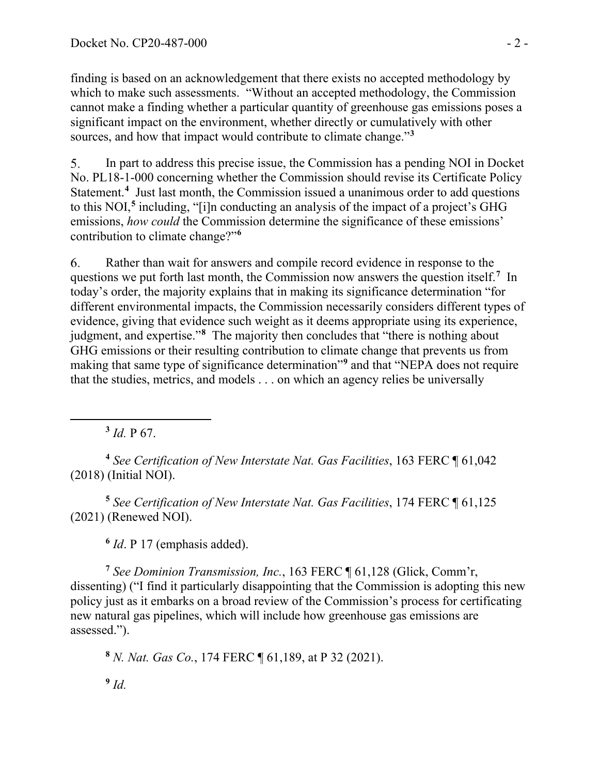finding is based on an acknowledgement that there exists no accepted methodology by which to make such assessments. "Without an accepted methodology, the Commission cannot make a finding whether a particular quantity of greenhouse gas emissions poses a significant impact on the environment, whether directly or cumulatively with other sources, and how that impact would contribute to climate change."**[3](#page-24-0)**

5. In part to address this precise issue, the Commission has a pending NOI in Docket No. PL18-1-000 concerning whether the Commission should revise its Certificate Policy Statement.<sup>[4](#page-24-1)</sup> Just last month, the Commission issued a unanimous order to add questions to this NOI,**[5](#page-24-2)** including, "[i]n conducting an analysis of the impact of a project's GHG emissions, *how could* the Commission determine the significance of these emissions' contribution to climate change?"**[6](#page-24-3)**

Rather than wait for answers and compile record evidence in response to the 6. questions we put forth last month, the Commission now answers the question itself.**[7](#page-24-4)** In today's order, the majority explains that in making its significance determination "for different environmental impacts, the Commission necessarily considers different types of evidence, giving that evidence such weight as it deems appropriate using its experience, judgment, and expertise."**[8](#page-24-5)** The majority then concludes that "there is nothing about GHG emissions or their resulting contribution to climate change that prevents us from making that same type of significance determination"**[9](#page-24-6)** and that "NEPA does not require that the studies, metrics, and models . . . on which an agency relies be universally

**<sup>3</sup>** *Id.* P 67.

<span id="page-24-1"></span><span id="page-24-0"></span>**<sup>4</sup>** *See Certification of New Interstate Nat. Gas Facilities*, 163 FERC ¶ 61,042 (2018) (Initial NOI).

<span id="page-24-2"></span>**<sup>5</sup>** *See Certification of New Interstate Nat. Gas Facilities*, 174 FERC ¶ 61,125 (2021) (Renewed NOI).

**<sup>6</sup>** *Id*. P 17 (emphasis added).

<span id="page-24-4"></span><span id="page-24-3"></span>**<sup>7</sup>** *See Dominion Transmission, Inc.*, 163 FERC ¶ 61,128 (Glick, Comm'r, dissenting) ("I find it particularly disappointing that the Commission is adopting this new policy just as it embarks on a broad review of the Commission's process for certificating new natural gas pipelines, which will include how greenhouse gas emissions are assessed.").

<span id="page-24-6"></span><span id="page-24-5"></span>**<sup>8</sup>** *N. Nat. Gas Co.*, 174 FERC ¶ 61,189, at P 32 (2021). **<sup>9</sup>** *Id.*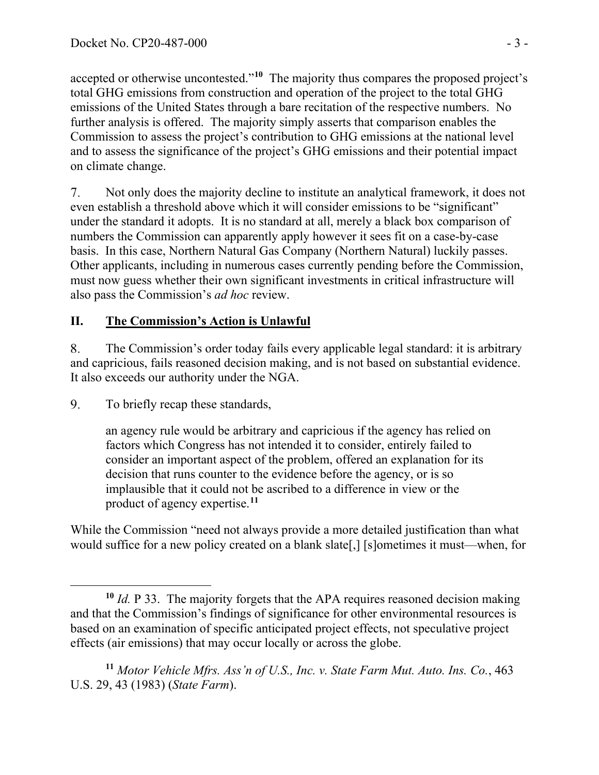accepted or otherwise uncontested."**[10](#page-25-0)** The majority thus compares the proposed project's total GHG emissions from construction and operation of the project to the total GHG emissions of the United States through a bare recitation of the respective numbers. No further analysis is offered. The majority simply asserts that comparison enables the Commission to assess the project's contribution to GHG emissions at the national level and to assess the significance of the project's GHG emissions and their potential impact on climate change.

7. Not only does the majority decline to institute an analytical framework, it does not even establish a threshold above which it will consider emissions to be "significant" under the standard it adopts. It is no standard at all, merely a black box comparison of numbers the Commission can apparently apply however it sees fit on a case-by-case basis. In this case, Northern Natural Gas Company (Northern Natural) luckily passes. Other applicants, including in numerous cases currently pending before the Commission, must now guess whether their own significant investments in critical infrastructure will also pass the Commission's *ad hoc* review.

# **II. The Commission's Action is Unlawful**

8. The Commission's order today fails every applicable legal standard: it is arbitrary and capricious, fails reasoned decision making, and is not based on substantial evidence. It also exceeds our authority under the NGA.

9. To briefly recap these standards,

> an agency rule would be arbitrary and capricious if the agency has relied on factors which Congress has not intended it to consider, entirely failed to consider an important aspect of the problem, offered an explanation for its decision that runs counter to the evidence before the agency, or is so implausible that it could not be ascribed to a difference in view or the product of agency expertise.**[11](#page-25-1)**

While the Commission "need not always provide a more detailed justification than what would suffice for a new policy created on a blank slate[,] [s]ometimes it must—when, for

<span id="page-25-0"></span>**<sup>10</sup>** *Id.* P 33. The majority forgets that the APA requires reasoned decision making and that the Commission's findings of significance for other environmental resources is based on an examination of specific anticipated project effects, not speculative project effects (air emissions) that may occur locally or across the globe.

<span id="page-25-1"></span>**<sup>11</sup>** *Motor Vehicle Mfrs. Ass'n of U.S., Inc. v. State Farm Mut. Auto. Ins. Co.*, 463 U.S. 29, 43 (1983) (*State Farm*).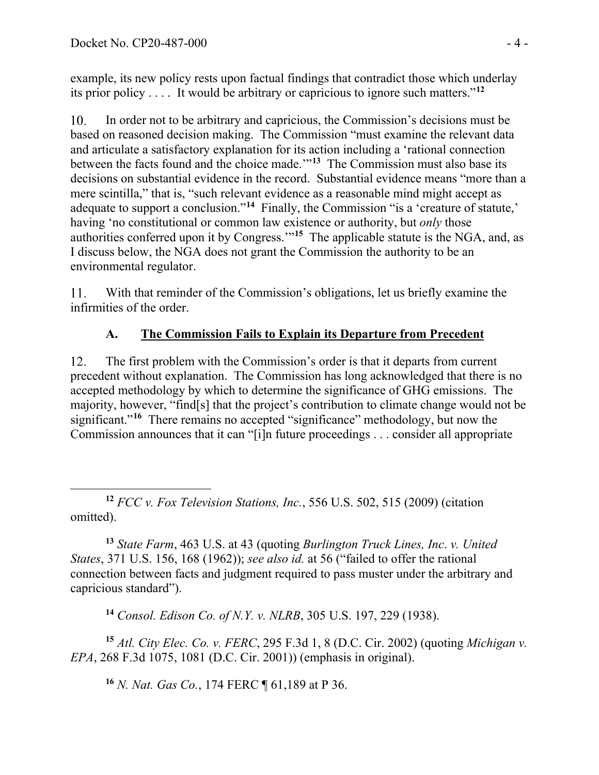example, its new policy rests upon factual findings that contradict those which underlay its prior policy . . . . It would be arbitrary or capricious to ignore such matters."**[12](#page-26-0)**

In order not to be arbitrary and capricious, the Commission's decisions must be  $10.$ based on reasoned decision making. The Commission "must examine the relevant data and articulate a satisfactory explanation for its action including a 'rational connection between the facts found and the choice made.'"**[13](#page-26-1)** The Commission must also base its decisions on substantial evidence in the record. Substantial evidence means "more than a mere scintilla," that is, "such relevant evidence as a reasonable mind might accept as adequate to support a conclusion."**[14](#page-26-2)** Finally, the Commission "is a 'creature of statute,' having 'no constitutional or common law existence or authority, but *only* those authorities conferred upon it by Congress.'"**[15](#page-26-3)** The applicable statute is the NGA, and, as I discuss below, the NGA does not grant the Commission the authority to be an environmental regulator.

With that reminder of the Commission's obligations, let us briefly examine the 11. infirmities of the order.

# **A. The Commission Fails to Explain its Departure from Precedent**

12. The first problem with the Commission's order is that it departs from current precedent without explanation. The Commission has long acknowledged that there is no accepted methodology by which to determine the significance of GHG emissions. The majority, however, "find[s] that the project's contribution to climate change would not be significant."<sup>[16](#page-26-4)</sup> There remains no accepted "significance" methodology, but now the Commission announces that it can "[i]n future proceedings . . . consider all appropriate

<span id="page-26-0"></span>**<sup>12</sup>** *FCC v. Fox Television Stations, Inc.*, 556 U.S. 502, 515 (2009) (citation omitted).

<span id="page-26-1"></span>**<sup>13</sup>** *State Farm*, 463 U.S. at 43 (quoting *Burlington Truck Lines, Inc*. *v. United States*, 371 U.S. 156, 168 (1962)); *see also id.* at 56 ("failed to offer the rational connection between facts and judgment required to pass muster under the arbitrary and capricious standard").

**<sup>14</sup>** *Consol. Edison Co. of N.Y. v. NLRB*, 305 U.S. 197, 229 (1938).

<span id="page-26-4"></span><span id="page-26-3"></span><span id="page-26-2"></span>**<sup>15</sup>** *Atl. City Elec. Co. v. FERC*, 295 F.3d 1, 8 (D.C. Cir. 2002) (quoting *Michigan v. EPA*, 268 F.3d 1075, 1081 (D.C. Cir. 2001)) (emphasis in original).

**<sup>16</sup>** *N. Nat. Gas Co.*, 174 FERC ¶ 61,189 at P 36.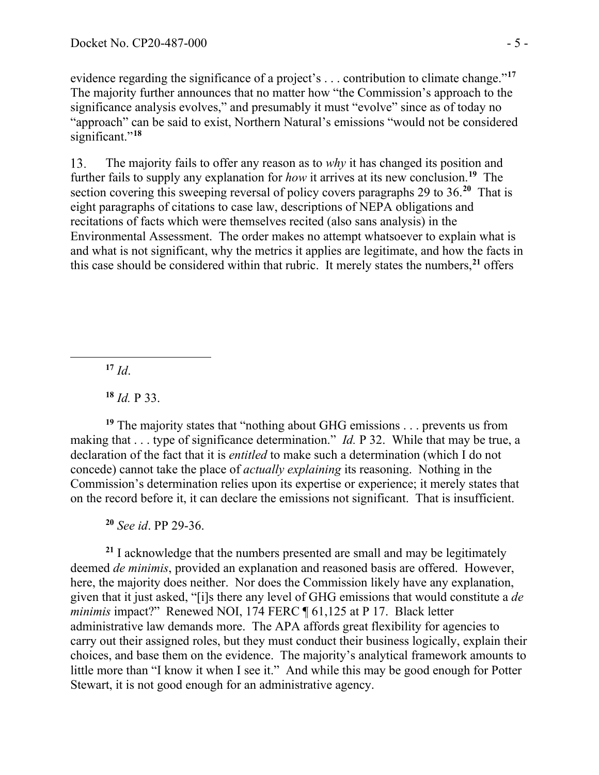evidence regarding the significance of a project's . . . contribution to climate change."**[17](#page-27-0)** The majority further announces that no matter how "the Commission's approach to the significance analysis evolves," and presumably it must "evolve" since as of today no "approach" can be said to exist, Northern Natural's emissions "would not be considered significant."<sup>[18](#page-27-1)</sup>

13. The majority fails to offer any reason as to *why* it has changed its position and further fails to supply any explanation for *how* it arrives at its new conclusion.**[19](#page-27-2)** The section covering this sweeping reversal of policy covers paragraphs 29 to 36.**[20](#page-27-3)** That is eight paragraphs of citations to case law, descriptions of NEPA obligations and recitations of facts which were themselves recited (also sans analysis) in the Environmental Assessment. The order makes no attempt whatsoever to explain what is and what is not significant, why the metrics it applies are legitimate, and how the facts in this case should be considered within that rubric. It merely states the numbers,**[21](#page-27-4)** offers

 $17$  *Id.* 

**<sup>18</sup>** *Id.* P 33.

<span id="page-27-2"></span><span id="page-27-1"></span><span id="page-27-0"></span>**<sup>19</sup>** The majority states that "nothing about GHG emissions . . . prevents us from making that . . . type of significance determination." *Id.* P 32. While that may be true, a declaration of the fact that it is *entitled* to make such a determination (which I do not concede) cannot take the place of *actually explaining* its reasoning. Nothing in the Commission's determination relies upon its expertise or experience; it merely states that on the record before it, it can declare the emissions not significant. That is insufficient.

**<sup>20</sup>** *See id*. PP 29-36.

<span id="page-27-4"></span><span id="page-27-3"></span>**<sup>21</sup>** I acknowledge that the numbers presented are small and may be legitimately deemed *de minimis*, provided an explanation and reasoned basis are offered. However, here, the majority does neither. Nor does the Commission likely have any explanation, given that it just asked, "[i]s there any level of GHG emissions that would constitute a *de minimis* impact?" Renewed NOI, 174 FERC ¶ 61,125 at P 17. Black letter administrative law demands more. The APA affords great flexibility for agencies to carry out their assigned roles, but they must conduct their business logically, explain their choices, and base them on the evidence. The majority's analytical framework amounts to little more than "I know it when I see it." And while this may be good enough for Potter Stewart, it is not good enough for an administrative agency.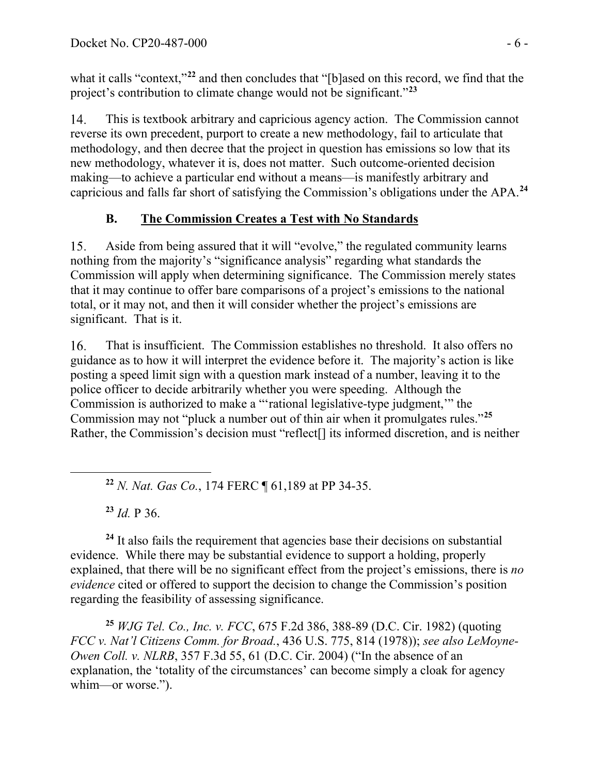what it calls "context,"<sup>[22](#page-28-0)</sup> and then concludes that "[b]ased on this record, we find that the project's contribution to climate change would not be significant."**[23](#page-28-1)**

This is textbook arbitrary and capricious agency action. The Commission cannot 14. reverse its own precedent, purport to create a new methodology, fail to articulate that methodology, and then decree that the project in question has emissions so low that its new methodology, whatever it is, does not matter. Such outcome-oriented decision making—to achieve a particular end without a means—is manifestly arbitrary and capricious and falls far short of satisfying the Commission's obligations under the APA.**[24](#page-28-2)**

# **B. The Commission Creates a Test with No Standards**

15. Aside from being assured that it will "evolve," the regulated community learns nothing from the majority's "significance analysis" regarding what standards the Commission will apply when determining significance. The Commission merely states that it may continue to offer bare comparisons of a project's emissions to the national total, or it may not, and then it will consider whether the project's emissions are significant. That is it.

That is insufficient. The Commission establishes no threshold. It also offers no 16. guidance as to how it will interpret the evidence before it. The majority's action is like posting a speed limit sign with a question mark instead of a number, leaving it to the police officer to decide arbitrarily whether you were speeding. Although the Commission is authorized to make a "'rational legislative-type judgment,'" the Commission may not "pluck a number out of thin air when it promulgates rules."**[25](#page-28-3)** Rather, the Commission's decision must "reflect[] its informed discretion, and is neither

**<sup>22</sup>** *N. Nat. Gas Co.*, 174 FERC ¶ 61,189 at PP 34-35.

**<sup>23</sup>** *Id.* P 36.

<span id="page-28-2"></span><span id="page-28-1"></span><span id="page-28-0"></span>**<sup>24</sup>** It also fails the requirement that agencies base their decisions on substantial evidence. While there may be substantial evidence to support a holding, properly explained, that there will be no significant effect from the project's emissions, there is *no evidence* cited or offered to support the decision to change the Commission's position regarding the feasibility of assessing significance.

<span id="page-28-3"></span>**<sup>25</sup>** *WJG Tel. Co., Inc. v. FCC*, 675 F.2d 386, 388-89 (D.C. Cir. 1982) (quoting *FCC v. Nat'l Citizens Comm. for Broad.*, 436 U.S. 775, 814 (1978)); *see also LeMoyne-Owen Coll. v. NLRB*, 357 F.3d 55, 61 (D.C. Cir. 2004) ("In the absence of an explanation, the 'totality of the circumstances' can become simply a cloak for agency whim—or worse.").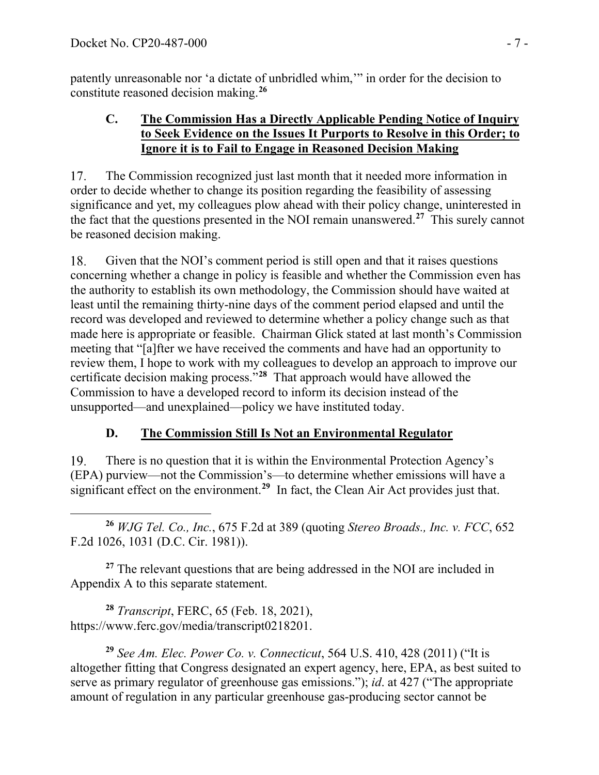patently unreasonable nor 'a dictate of unbridled whim,'" in order for the decision to constitute reasoned decision making.**[26](#page-29-0)**

### **C. The Commission Has a Directly Applicable Pending Notice of Inquiry to Seek Evidence on the Issues It Purports to Resolve in this Order; to Ignore it is to Fail to Engage in Reasoned Decision Making**

17. The Commission recognized just last month that it needed more information in order to decide whether to change its position regarding the feasibility of assessing significance and yet, my colleagues plow ahead with their policy change, uninterested in the fact that the questions presented in the NOI remain unanswered.**[27](#page-29-1)** This surely cannot be reasoned decision making.

18. Given that the NOI's comment period is still open and that it raises questions concerning whether a change in policy is feasible and whether the Commission even has the authority to establish its own methodology, the Commission should have waited at least until the remaining thirty-nine days of the comment period elapsed and until the record was developed and reviewed to determine whether a policy change such as that made here is appropriate or feasible. Chairman Glick stated at last month's Commission meeting that "[a]fter we have received the comments and have had an opportunity to review them, I hope to work with my colleagues to develop an approach to improve our certificate decision making process."**[28](#page-29-2)** That approach would have allowed the Commission to have a developed record to inform its decision instead of the unsupported—and unexplained—policy we have instituted today.

## **D. The Commission Still Is Not an Environmental Regulator**

19. There is no question that it is within the Environmental Protection Agency's (EPA) purview—not the Commission's—to determine whether emissions will have a significant effect on the environment.<sup>[29](#page-29-3)</sup> In fact, the Clean Air Act provides just that.

<span id="page-29-0"></span>**<sup>26</sup>** *WJG Tel. Co., Inc.*, 675 F.2d at 389 (quoting *Stereo Broads., Inc. v. FCC*, 652 F.2d 1026, 1031 (D.C. Cir. 1981)).

<span id="page-29-1"></span>**<sup>27</sup>** The relevant questions that are being addressed in the NOI are included in Appendix A to this separate statement.

<span id="page-29-2"></span>**<sup>28</sup>** *Transcript*, FERC, 65 (Feb. 18, 2021), https://www.ferc.gov/media/transcript0218201.

<span id="page-29-3"></span>**<sup>29</sup>** *See Am. Elec. Power Co. v. Connecticut*, 564 U.S. 410, 428 (2011) ("It is altogether fitting that Congress designated an expert agency, here, EPA, as best suited to serve as primary regulator of greenhouse gas emissions."); *id*. at 427 ("The appropriate amount of regulation in any particular greenhouse gas-producing sector cannot be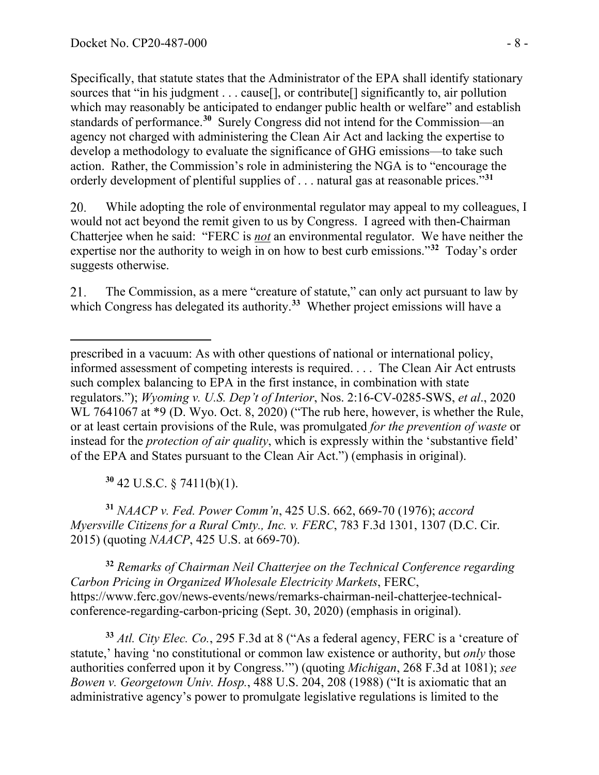Specifically, that statute states that the Administrator of the EPA shall identify stationary sources that "in his judgment . . . cause[], or contribute[] significantly to, air pollution which may reasonably be anticipated to endanger public health or welfare" and establish standards of performance.**[30](#page-30-0)** Surely Congress did not intend for the Commission—an agency not charged with administering the Clean Air Act and lacking the expertise to develop a methodology to evaluate the significance of GHG emissions—to take such action. Rather, the Commission's role in administering the NGA is to "encourage the orderly development of plentiful supplies of . . . natural gas at reasonable prices."**[31](#page-30-1)**

20. While adopting the role of environmental regulator may appeal to my colleagues, I would not act beyond the remit given to us by Congress. I agreed with then-Chairman Chatterjee when he said: "FERC is *not* an environmental regulator. We have neither the expertise nor the authority to weigh in on how to best curb emissions."**[32](#page-30-2)** Today's order suggests otherwise.

The Commission, as a mere "creature of statute," can only act pursuant to law by 21. which Congress has delegated its authority.<sup>[33](#page-30-3)</sup> Whether project emissions will have a

**<sup>30</sup>** 42 U.S.C. § 7411(b)(1).

<span id="page-30-1"></span><span id="page-30-0"></span>**<sup>31</sup>** *NAACP v. Fed. Power Comm'n*, 425 U.S. 662, 669-70 (1976); *accord Myersville Citizens for a Rural Cmty., Inc. v. FERC*, 783 F.3d 1301, 1307 (D.C. Cir. 2015) (quoting *NAACP*, 425 U.S. at 669-70).

<span id="page-30-2"></span>**<sup>32</sup>** *Remarks of Chairman Neil Chatterjee on the Technical Conference regarding Carbon Pricing in Organized Wholesale Electricity Markets*, FERC, https://www.ferc.gov/news-events/news/remarks-chairman-neil-chatterjee-technicalconference-regarding-carbon-pricing (Sept. 30, 2020) (emphasis in original).

<span id="page-30-3"></span>**<sup>33</sup>** *Atl. City Elec. Co.*, 295 F.3d at 8 ("As a federal agency, FERC is a 'creature of statute,' having 'no constitutional or common law existence or authority, but *only* those authorities conferred upon it by Congress.'") (quoting *Michigan*, 268 F.3d at 1081); *see Bowen v. Georgetown Univ. Hosp.*, 488 U.S. 204, 208 (1988) ("It is axiomatic that an administrative agency's power to promulgate legislative regulations is limited to the

prescribed in a vacuum: As with other questions of national or international policy, informed assessment of competing interests is required. . . . The Clean Air Act entrusts such complex balancing to EPA in the first instance, in combination with state regulators."); *Wyoming v. U.S. Dep't of Interior*, Nos. 2:16-CV-0285-SWS, *et al*., 2020 WL 7641067 at \*9 (D. Wyo. Oct. 8, 2020) ("The rub here, however, is whether the Rule, or at least certain provisions of the Rule, was promulgated *for the prevention of waste* or instead for the *protection of air quality*, which is expressly within the 'substantive field' of the EPA and States pursuant to the Clean Air Act.") (emphasis in original).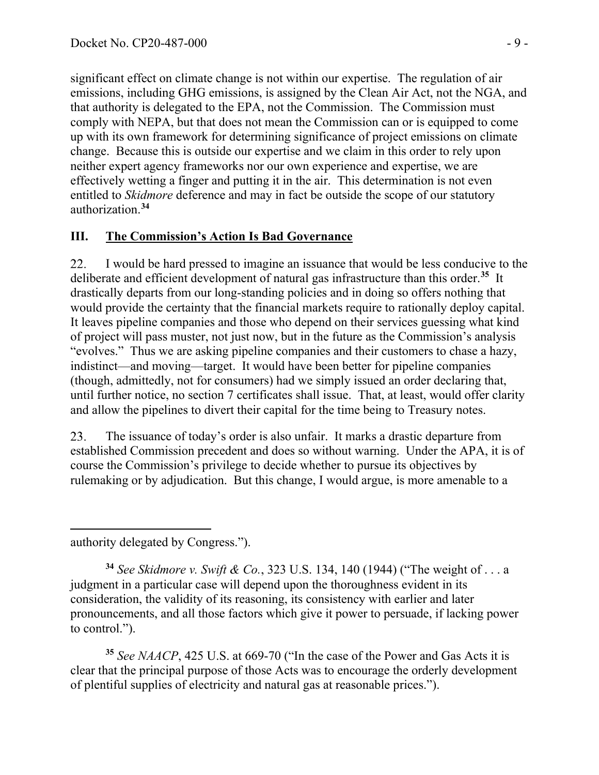significant effect on climate change is not within our expertise. The regulation of air emissions, including GHG emissions, is assigned by the Clean Air Act, not the NGA, and that authority is delegated to the EPA, not the Commission. The Commission must comply with NEPA, but that does not mean the Commission can or is equipped to come up with its own framework for determining significance of project emissions on climate change. Because this is outside our expertise and we claim in this order to rely upon neither expert agency frameworks nor our own experience and expertise, we are effectively wetting a finger and putting it in the air. This determination is not even entitled to *Skidmore* deference and may in fact be outside the scope of our statutory authorization.**[34](#page-31-0)**

### **III. The Commission's Action Is Bad Governance**

22. I would be hard pressed to imagine an issuance that would be less conducive to the deliberate and efficient development of natural gas infrastructure than this order.**[35](#page-31-1)** It drastically departs from our long-standing policies and in doing so offers nothing that would provide the certainty that the financial markets require to rationally deploy capital. It leaves pipeline companies and those who depend on their services guessing what kind of project will pass muster, not just now, but in the future as the Commission's analysis "evolves." Thus we are asking pipeline companies and their customers to chase a hazy, indistinct—and moving—target. It would have been better for pipeline companies (though, admittedly, not for consumers) had we simply issued an order declaring that, until further notice, no section 7 certificates shall issue. That, at least, would offer clarity and allow the pipelines to divert their capital for the time being to Treasury notes.

23. The issuance of today's order is also unfair. It marks a drastic departure from established Commission precedent and does so without warning. Under the APA, it is of course the Commission's privilege to decide whether to pursue its objectives by rulemaking or by adjudication. But this change, I would argue, is more amenable to a

authority delegated by Congress.").

<span id="page-31-0"></span>**<sup>34</sup>** *See Skidmore v. Swift & Co.*, 323 U.S. 134, 140 (1944) ("The weight of . . . a judgment in a particular case will depend upon the thoroughness evident in its consideration, the validity of its reasoning, its consistency with earlier and later pronouncements, and all those factors which give it power to persuade, if lacking power to control.").

<span id="page-31-1"></span>**<sup>35</sup>** *See NAACP*, 425 U.S. at 669-70 ("In the case of the Power and Gas Acts it is clear that the principal purpose of those Acts was to encourage the orderly development of plentiful supplies of electricity and natural gas at reasonable prices.").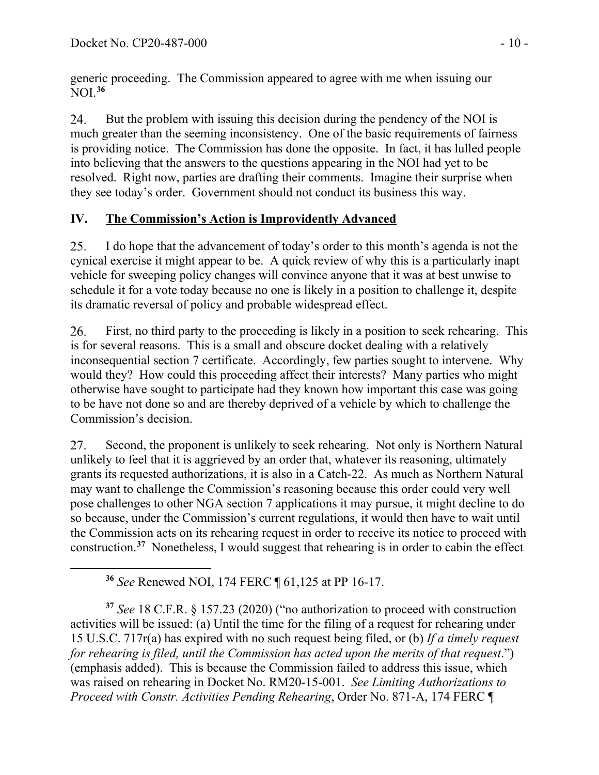generic proceeding. The Commission appeared to agree with me when issuing our NOI.**[36](#page-32-0)**

24. But the problem with issuing this decision during the pendency of the NOI is much greater than the seeming inconsistency. One of the basic requirements of fairness is providing notice. The Commission has done the opposite. In fact, it has lulled people into believing that the answers to the questions appearing in the NOI had yet to be resolved. Right now, parties are drafting their comments. Imagine their surprise when they see today's order. Government should not conduct its business this way.

# **IV. The Commission's Action is Improvidently Advanced**

25. I do hope that the advancement of today's order to this month's agenda is not the cynical exercise it might appear to be. A quick review of why this is a particularly inapt vehicle for sweeping policy changes will convince anyone that it was at best unwise to schedule it for a vote today because no one is likely in a position to challenge it, despite its dramatic reversal of policy and probable widespread effect.

First, no third party to the proceeding is likely in a position to seek rehearing. This 26. is for several reasons. This is a small and obscure docket dealing with a relatively inconsequential section 7 certificate. Accordingly, few parties sought to intervene. Why would they? How could this proceeding affect their interests? Many parties who might otherwise have sought to participate had they known how important this case was going to be have not done so and are thereby deprived of a vehicle by which to challenge the Commission's decision.

27. Second, the proponent is unlikely to seek rehearing. Not only is Northern Natural unlikely to feel that it is aggrieved by an order that, whatever its reasoning, ultimately grants its requested authorizations, it is also in a Catch-22. As much as Northern Natural may want to challenge the Commission's reasoning because this order could very well pose challenges to other NGA section 7 applications it may pursue, it might decline to do so because, under the Commission's current regulations, it would then have to wait until the Commission acts on its rehearing request in order to receive its notice to proceed with construction.**[37](#page-32-1)** Nonetheless, I would suggest that rehearing is in order to cabin the effect

**<sup>36</sup>** *See* Renewed NOI, 174 FERC ¶ 61,125 at PP 16-17.

<span id="page-32-1"></span><span id="page-32-0"></span>**<sup>37</sup>** *See* 18 C.F.R. § 157.23 (2020) ("no authorization to proceed with construction activities will be issued: (a) Until the time for the filing of a request for rehearing under 15 U.S.C. 717r(a) has expired with no such request being filed, or (b) *If a timely request for rehearing is filed, until the Commission has acted upon the merits of that request*.") (emphasis added). This is because the Commission failed to address this issue, which was raised on rehearing in Docket No. RM20-15-001. *See Limiting Authorizations to Proceed with Constr. Activities Pending Rehearing*, Order No. 871-A, 174 FERC ¶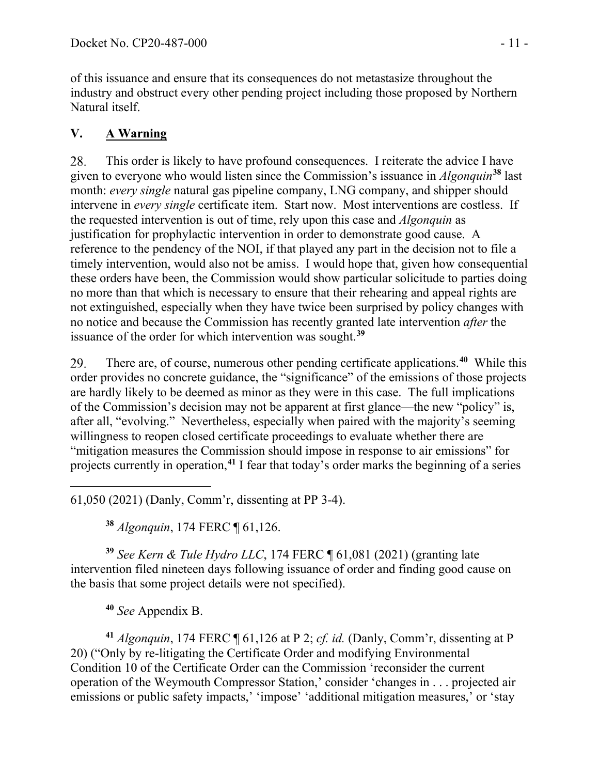of this issuance and ensure that its consequences do not metastasize throughout the industry and obstruct every other pending project including those proposed by Northern Natural itself.

# **V. A Warning**

This order is likely to have profound consequences. I reiterate the advice I have 28. given to everyone who would listen since the Commission's issuance in *Algonquin***[38](#page-33-0)** last month: *every single* natural gas pipeline company, LNG company, and shipper should intervene in *every single* certificate item. Start now. Most interventions are costless. If the requested intervention is out of time, rely upon this case and *Algonquin* as justification for prophylactic intervention in order to demonstrate good cause. A reference to the pendency of the NOI, if that played any part in the decision not to file a timely intervention, would also not be amiss. I would hope that, given how consequential these orders have been, the Commission would show particular solicitude to parties doing no more than that which is necessary to ensure that their rehearing and appeal rights are not extinguished, especially when they have twice been surprised by policy changes with no notice and because the Commission has recently granted late intervention *after* the issuance of the order for which intervention was sought.**[39](#page-33-1)**

There are, of course, numerous other pending certificate applications.**[40](#page-33-2)** While this 29. order provides no concrete guidance, the "significance" of the emissions of those projects are hardly likely to be deemed as minor as they were in this case. The full implications of the Commission's decision may not be apparent at first glance—the new "policy" is, after all, "evolving." Nevertheless, especially when paired with the majority's seeming willingness to reopen closed certificate proceedings to evaluate whether there are "mitigation measures the Commission should impose in response to air emissions" for projects currently in operation,**[41](#page-33-3)** I fear that today's order marks the beginning of a series

61,050 (2021) (Danly, Comm'r, dissenting at PP 3-4).

**<sup>38</sup>** *Algonquin*, 174 FERC ¶ 61,126.

<span id="page-33-1"></span><span id="page-33-0"></span>**<sup>39</sup>** *See Kern & Tule Hydro LLC*, 174 FERC ¶ 61,081 (2021) (granting late intervention filed nineteen days following issuance of order and finding good cause on the basis that some project details were not specified).

**<sup>40</sup>** *See* Appendix B.

<span id="page-33-3"></span><span id="page-33-2"></span>**<sup>41</sup>** *Algonquin*, 174 FERC ¶ 61,126 at P 2; *cf. id.* (Danly, Comm'r, dissenting at P 20) ("Only by re-litigating the Certificate Order and modifying Environmental Condition 10 of the Certificate Order can the Commission 'reconsider the current operation of the Weymouth Compressor Station,' consider 'changes in . . . projected air emissions or public safety impacts,' 'impose' 'additional mitigation measures,' or 'stay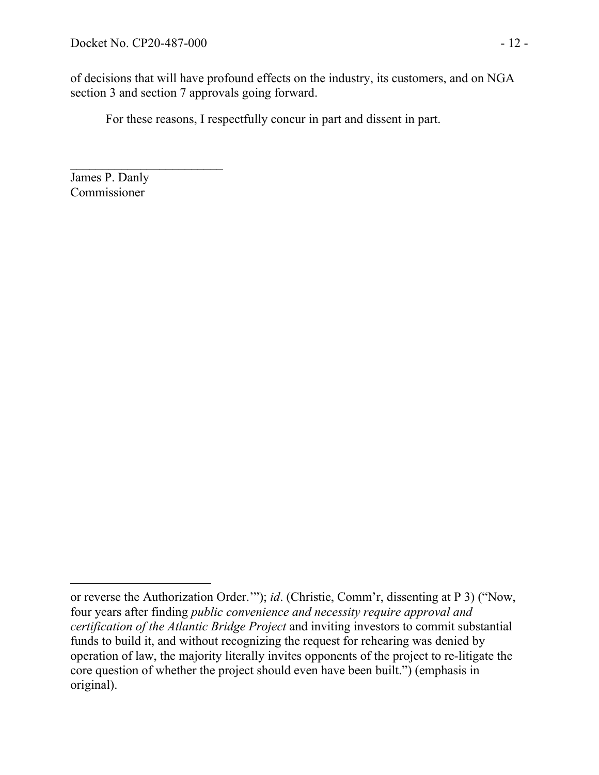$\overline{\phantom{a}}$  , where  $\overline{\phantom{a}}$ 

of decisions that will have profound effects on the industry, its customers, and on NGA section 3 and section 7 approvals going forward.

For these reasons, I respectfully concur in part and dissent in part.

James P. Danly Commissioner

or reverse the Authorization Order.'"); *id*. (Christie, Comm'r, dissenting at P 3) ("Now, four years after finding *public convenience and necessity require approval and certification of the Atlantic Bridge Project* and inviting investors to commit substantial funds to build it, and without recognizing the request for rehearing was denied by operation of law, the majority literally invites opponents of the project to re-litigate the core question of whether the project should even have been built.") (emphasis in original).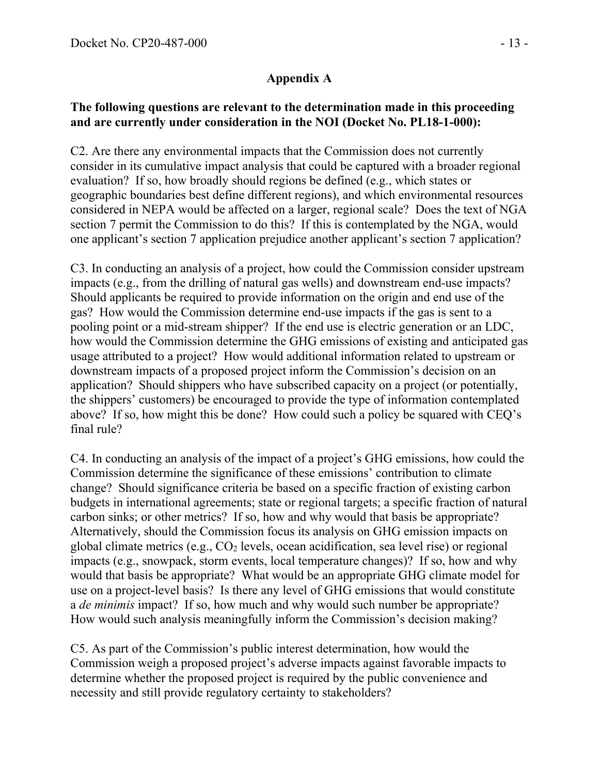### **Appendix A**

### **The following questions are relevant to the determination made in this proceeding and are currently under consideration in the NOI (Docket No. PL18-1-000):**

C2. Are there any environmental impacts that the Commission does not currently consider in its cumulative impact analysis that could be captured with a broader regional evaluation? If so, how broadly should regions be defined (e.g., which states or geographic boundaries best define different regions), and which environmental resources considered in NEPA would be affected on a larger, regional scale? Does the text of NGA section 7 permit the Commission to do this? If this is contemplated by the NGA, would one applicant's section 7 application prejudice another applicant's section 7 application?

C3. In conducting an analysis of a project, how could the Commission consider upstream impacts (e.g., from the drilling of natural gas wells) and downstream end-use impacts? Should applicants be required to provide information on the origin and end use of the gas? How would the Commission determine end-use impacts if the gas is sent to a pooling point or a mid-stream shipper? If the end use is electric generation or an LDC, how would the Commission determine the GHG emissions of existing and anticipated gas usage attributed to a project? How would additional information related to upstream or downstream impacts of a proposed project inform the Commission's decision on an application? Should shippers who have subscribed capacity on a project (or potentially, the shippers' customers) be encouraged to provide the type of information contemplated above? If so, how might this be done? How could such a policy be squared with CEQ's final rule?

C4. In conducting an analysis of the impact of a project's GHG emissions, how could the Commission determine the significance of these emissions' contribution to climate change? Should significance criteria be based on a specific fraction of existing carbon budgets in international agreements; state or regional targets; a specific fraction of natural carbon sinks; or other metrics? If so, how and why would that basis be appropriate? Alternatively, should the Commission focus its analysis on GHG emission impacts on global climate metrics (e.g.,  $CO<sub>2</sub>$  levels, ocean acidification, sea level rise) or regional impacts (e.g., snowpack, storm events, local temperature changes)? If so, how and why would that basis be appropriate? What would be an appropriate GHG climate model for use on a project-level basis? Is there any level of GHG emissions that would constitute a *de minimis* impact? If so, how much and why would such number be appropriate? How would such analysis meaningfully inform the Commission's decision making?

C5. As part of the Commission's public interest determination, how would the Commission weigh a proposed project's adverse impacts against favorable impacts to determine whether the proposed project is required by the public convenience and necessity and still provide regulatory certainty to stakeholders?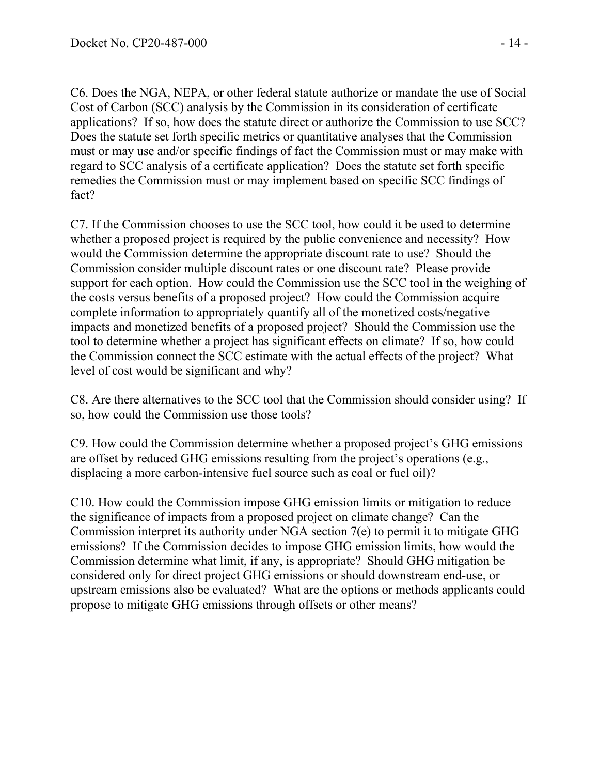C6. Does the NGA, NEPA, or other federal statute authorize or mandate the use of Social Cost of Carbon (SCC) analysis by the Commission in its consideration of certificate applications? If so, how does the statute direct or authorize the Commission to use SCC? Does the statute set forth specific metrics or quantitative analyses that the Commission must or may use and/or specific findings of fact the Commission must or may make with regard to SCC analysis of a certificate application? Does the statute set forth specific remedies the Commission must or may implement based on specific SCC findings of fact?

C7. If the Commission chooses to use the SCC tool, how could it be used to determine whether a proposed project is required by the public convenience and necessity? How would the Commission determine the appropriate discount rate to use? Should the Commission consider multiple discount rates or one discount rate? Please provide support for each option. How could the Commission use the SCC tool in the weighing of the costs versus benefits of a proposed project? How could the Commission acquire complete information to appropriately quantify all of the monetized costs/negative impacts and monetized benefits of a proposed project? Should the Commission use the tool to determine whether a project has significant effects on climate? If so, how could the Commission connect the SCC estimate with the actual effects of the project? What level of cost would be significant and why?

C8. Are there alternatives to the SCC tool that the Commission should consider using? If so, how could the Commission use those tools?

C9. How could the Commission determine whether a proposed project's GHG emissions are offset by reduced GHG emissions resulting from the project's operations (e.g., displacing a more carbon-intensive fuel source such as coal or fuel oil)?

C10. How could the Commission impose GHG emission limits or mitigation to reduce the significance of impacts from a proposed project on climate change? Can the Commission interpret its authority under NGA section 7(e) to permit it to mitigate GHG emissions? If the Commission decides to impose GHG emission limits, how would the Commission determine what limit, if any, is appropriate? Should GHG mitigation be considered only for direct project GHG emissions or should downstream end-use, or upstream emissions also be evaluated? What are the options or methods applicants could propose to mitigate GHG emissions through offsets or other means?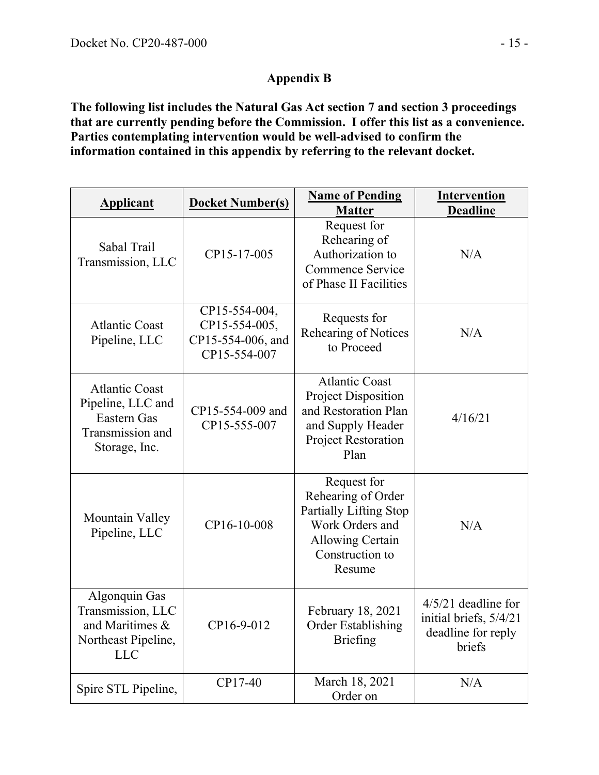### **Appendix B**

**The following list includes the Natural Gas Act section 7 and section 3 proceedings that are currently pending before the Commission. I offer this list as a convenience. Parties contemplating intervention would be well-advised to confirm the information contained in this appendix by referring to the relevant docket.**

| <b>Applicant</b>                                                                               | <b>Docket Number(s)</b>                                             | <b>Name of Pending</b><br><b>Matter</b>                                                                                                | <b>Intervention</b><br><b>Deadline</b>                                          |
|------------------------------------------------------------------------------------------------|---------------------------------------------------------------------|----------------------------------------------------------------------------------------------------------------------------------------|---------------------------------------------------------------------------------|
| Sabal Trail<br>Transmission, LLC                                                               | CP15-17-005                                                         | Request for<br>Rehearing of<br>Authorization to<br>Commence Service<br>of Phase II Facilities                                          | N/A                                                                             |
| <b>Atlantic Coast</b><br>Pipeline, LLC                                                         | CP15-554-004,<br>CP15-554-005,<br>CP15-554-006, and<br>CP15-554-007 | Requests for<br>Rehearing of Notices<br>to Proceed                                                                                     | N/A                                                                             |
| <b>Atlantic Coast</b><br>Pipeline, LLC and<br>Eastern Gas<br>Transmission and<br>Storage, Inc. | CP15-554-009 and<br>CP15-555-007                                    | <b>Atlantic Coast</b><br><b>Project Disposition</b><br>and Restoration Plan<br>and Supply Header<br>Project Restoration<br>Plan        | 4/16/21                                                                         |
| Mountain Valley<br>Pipeline, LLC                                                               | CP16-10-008                                                         | Request for<br>Rehearing of Order<br>Partially Lifting Stop<br>Work Orders and<br><b>Allowing Certain</b><br>Construction to<br>Resume | N/A                                                                             |
| Algonquin Gas<br>Transmission, LLC<br>and Maritimes &<br>Northeast Pipeline,<br><b>LLC</b>     | CP16-9-012                                                          | February 18, 2021<br><b>Order Establishing</b><br><b>Briefing</b>                                                                      | $4/5/21$ deadline for<br>initial briefs, 5/4/21<br>deadline for reply<br>briefs |
| Spire STL Pipeline,                                                                            | CP17-40                                                             | March 18, 2021<br>Order on                                                                                                             | N/A                                                                             |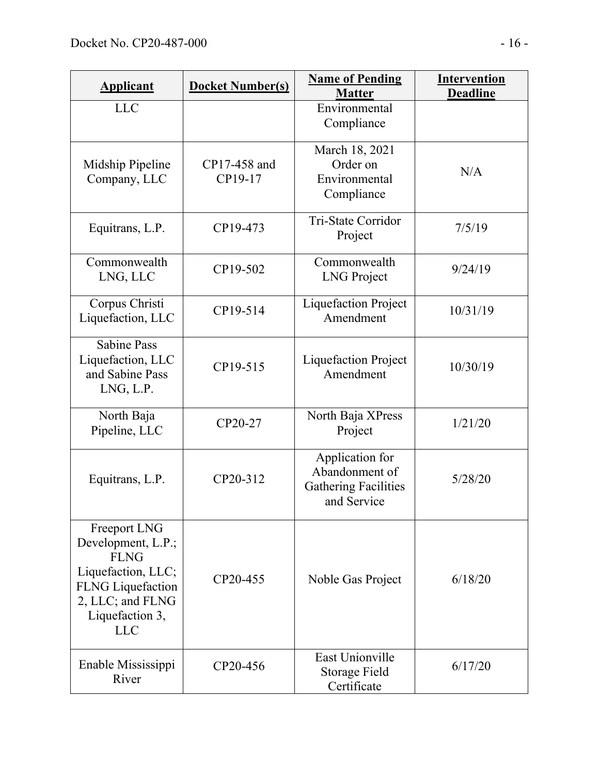| <b>Applicant</b>                                                                                                                                         | <b>Docket Number(s)</b> | <b>Name of Pending</b><br><b>Matter</b>                                         | <b>Intervention</b><br><b>Deadline</b> |
|----------------------------------------------------------------------------------------------------------------------------------------------------------|-------------------------|---------------------------------------------------------------------------------|----------------------------------------|
| <b>LLC</b>                                                                                                                                               |                         | Environmental<br>Compliance                                                     |                                        |
| Midship Pipeline<br>Company, LLC                                                                                                                         | CP17-458 and<br>CP19-17 | March 18, 2021<br>Order on<br>Environmental<br>Compliance                       | N/A                                    |
| Equitrans, L.P.                                                                                                                                          | CP19-473                | Tri-State Corridor<br>Project                                                   | 7/5/19                                 |
| Commonwealth<br>LNG, LLC                                                                                                                                 | CP19-502                | Commonwealth<br><b>LNG</b> Project                                              | 9/24/19                                |
| Corpus Christi<br>Liquefaction, LLC                                                                                                                      | CP19-514                | <b>Liquefaction Project</b><br>Amendment                                        | 10/31/19                               |
| <b>Sabine Pass</b><br>Liquefaction, LLC<br>and Sabine Pass<br>LNG, L.P.                                                                                  | CP19-515                | Liquefaction Project<br>Amendment                                               | 10/30/19                               |
| North Baja<br>Pipeline, LLC                                                                                                                              | CP20-27                 | North Baja XPress<br>Project                                                    | 1/21/20                                |
| Equitrans, L.P.                                                                                                                                          | CP20-312                | Application for<br>Abandonment of<br><b>Gathering Facilities</b><br>and Service | 5/28/20                                |
| Freeport LNG<br>Development, L.P.;<br><b>FLNG</b><br>Liquefaction, LLC;<br><b>FLNG</b> Liquefaction<br>2, LLC; and FLNG<br>Liquefaction 3,<br><b>LLC</b> | CP20-455                | Noble Gas Project                                                               | 6/18/20                                |
| Enable Mississippi<br>River                                                                                                                              | CP20-456                | <b>East Unionville</b><br>Storage Field<br>Certificate                          | 6/17/20                                |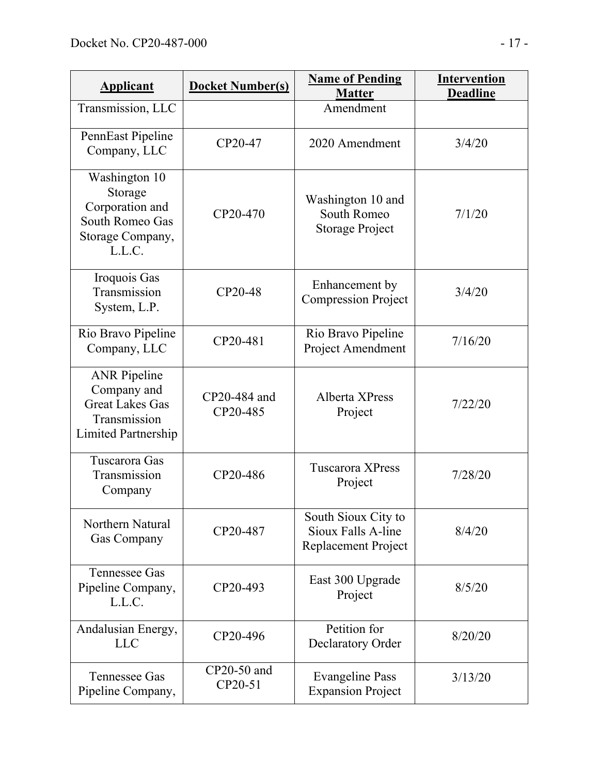| <b>Applicant</b>                                                                                           | <b>Docket Number(s)</b>  | <b>Name of Pending</b><br><b>Matter</b>                          | <b>Intervention</b><br><b>Deadline</b> |
|------------------------------------------------------------------------------------------------------------|--------------------------|------------------------------------------------------------------|----------------------------------------|
| Transmission, LLC                                                                                          |                          | Amendment                                                        |                                        |
| PennEast Pipeline<br>Company, LLC                                                                          | CP20-47                  | 2020 Amendment                                                   | 3/4/20                                 |
| Washington 10<br>Storage<br>Corporation and<br>South Romeo Gas<br>Storage Company,<br>L.L.C.               | CP20-470                 | Washington 10 and<br>South Romeo<br><b>Storage Project</b>       | 7/1/20                                 |
| Iroquois Gas<br>Transmission<br>System, L.P.                                                               | CP20-48                  | Enhancement by<br><b>Compression Project</b>                     | 3/4/20                                 |
| Rio Bravo Pipeline<br>Company, LLC                                                                         | CP20-481                 | Rio Bravo Pipeline<br>Project Amendment                          | 7/16/20                                |
| <b>ANR</b> Pipeline<br>Company and<br><b>Great Lakes Gas</b><br>Transmission<br><b>Limited Partnership</b> | CP20-484 and<br>CP20-485 | Alberta XPress<br>Project                                        | 7/22/20                                |
| Tuscarora Gas<br>Transmission<br>Company                                                                   | CP20-486                 | <b>Tuscarora XPress</b><br>Project                               | 7/28/20                                |
| Northern Natural<br>Gas Company                                                                            | CP20-487                 | South Sioux City to<br>Sioux Falls A-line<br>Replacement Project | 8/4/20                                 |
| <b>Tennessee Gas</b><br>Pipeline Company,<br>L.L.C.                                                        | CP20-493                 | East 300 Upgrade<br>Project                                      | 8/5/20                                 |
| Andalusian Energy,<br><b>LLC</b>                                                                           | CP20-496                 | Petition for<br>Declaratory Order                                | 8/20/20                                |
| <b>Tennessee Gas</b><br>Pipeline Company,                                                                  | CP20-50 and<br>CP20-51   | <b>Evangeline Pass</b><br><b>Expansion Project</b>               | 3/13/20                                |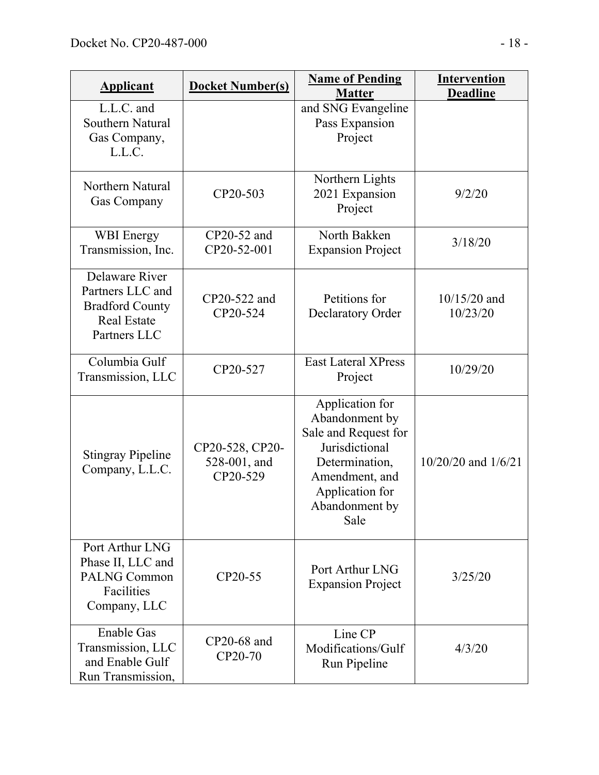| <b>Applicant</b>                                                                                   | <b>Docket Number(s)</b>                     | <b>Name of Pending</b><br><b>Matter</b>                                                                                                                      | <b>Intervention</b><br><b>Deadline</b> |
|----------------------------------------------------------------------------------------------------|---------------------------------------------|--------------------------------------------------------------------------------------------------------------------------------------------------------------|----------------------------------------|
| L.L.C. and<br>Southern Natural<br>Gas Company,<br>L.L.C.                                           |                                             | and SNG Evangeline<br>Pass Expansion<br>Project                                                                                                              |                                        |
| Northern Natural<br>Gas Company                                                                    | CP20-503                                    | Northern Lights<br>2021 Expansion<br>Project                                                                                                                 | 9/2/20                                 |
| <b>WBI</b> Energy<br>Transmission, Inc.                                                            | CP20-52 and<br>CP20-52-001                  | North Bakken<br><b>Expansion Project</b>                                                                                                                     | 3/18/20                                |
| Delaware River<br>Partners LLC and<br><b>Bradford County</b><br><b>Real Estate</b><br>Partners LLC | CP20-522 and<br>CP20-524                    | Petitions for<br><b>Declaratory Order</b>                                                                                                                    | $10/15/20$ and<br>10/23/20             |
| Columbia Gulf<br>Transmission, LLC                                                                 | CP20-527                                    | <b>East Lateral XPress</b><br>Project                                                                                                                        | 10/29/20                               |
| <b>Stingray Pipeline</b><br>Company, L.L.C.                                                        | CP20-528, CP20-<br>528-001, and<br>CP20-529 | Application for<br>Abandonment by<br>Sale and Request for<br>Jurisdictional<br>Determination,<br>Amendment, and<br>Application for<br>Abandonment by<br>Sale | 10/20/20 and 1/6/21                    |
| Port Arthur LNG<br>Phase II, LLC and<br><b>PALNG Common</b><br>Facilities<br>Company, LLC          | CP20-55                                     | Port Arthur LNG<br><b>Expansion Project</b>                                                                                                                  | 3/25/20                                |
| <b>Enable Gas</b><br>Transmission, LLC<br>and Enable Gulf<br>Run Transmission,                     | CP20-68 and<br>CP20-70                      | Line CP<br>Modifications/Gulf<br>Run Pipeline                                                                                                                | 4/3/20                                 |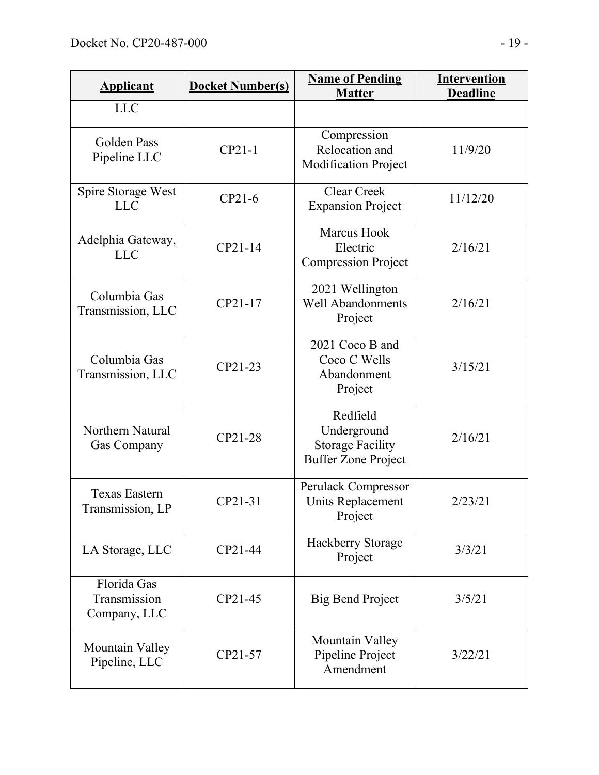| <b>Applicant</b>                            | <b>Docket Number(s)</b> | <b>Name of Pending</b><br><b>Matter</b>                                          | <b>Intervention</b><br><b>Deadline</b> |
|---------------------------------------------|-------------------------|----------------------------------------------------------------------------------|----------------------------------------|
| <b>LLC</b>                                  |                         |                                                                                  |                                        |
| Golden Pass<br>Pipeline LLC                 | $CP21-1$                | Compression<br>Relocation and<br><b>Modification Project</b>                     | 11/9/20                                |
| Spire Storage West<br><b>LLC</b>            | $CP21-6$                | <b>Clear Creek</b><br><b>Expansion Project</b>                                   | 11/12/20                               |
| Adelphia Gateway,<br><b>LLC</b>             | CP21-14                 | <b>Marcus Hook</b><br>Electric<br><b>Compression Project</b>                     | 2/16/21                                |
| Columbia Gas<br>Transmission, LLC           | CP21-17                 | 2021 Wellington<br><b>Well Abandonments</b><br>Project                           | 2/16/21                                |
| Columbia Gas<br>Transmission, LLC           | CP21-23                 | 2021 Coco B and<br>Coco C Wells<br>Abandonment<br>Project                        | 3/15/21                                |
| Northern Natural<br>Gas Company             | CP21-28                 | Redfield<br>Underground<br><b>Storage Facility</b><br><b>Buffer Zone Project</b> | 2/16/21                                |
| <b>Texas Eastern</b><br>Transmission, LP    | CP21-31                 | Perulack Compressor<br>Units Replacement<br>Project                              | 2/23/21                                |
| LA Storage, LLC                             | CP21-44                 | Hackberry Storage<br>Project                                                     | 3/3/21                                 |
| Florida Gas<br>Transmission<br>Company, LLC | CP21-45                 | <b>Big Bend Project</b>                                                          | 3/5/21                                 |
| Mountain Valley<br>Pipeline, LLC            | CP21-57                 | Mountain Valley<br>Pipeline Project<br>Amendment                                 | 3/22/21                                |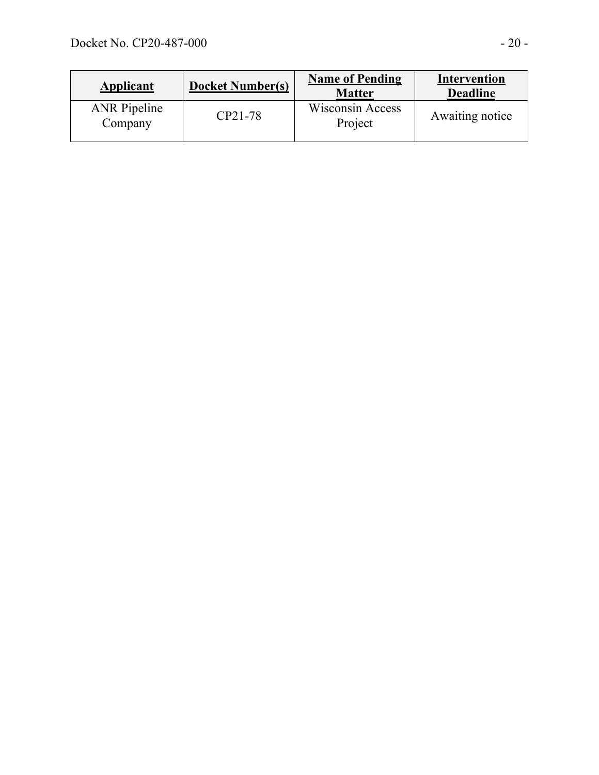| <b>Applicant</b>               | <b>Docket Number(s)</b> | <b>Name of Pending</b><br><b>Matter</b> | <b>Intervention</b><br><b>Deadline</b> |
|--------------------------------|-------------------------|-----------------------------------------|----------------------------------------|
| <b>ANR</b> Pipeline<br>Company | CP21-78                 | <b>Wisconsin Access</b><br>Project      | Awaiting notice                        |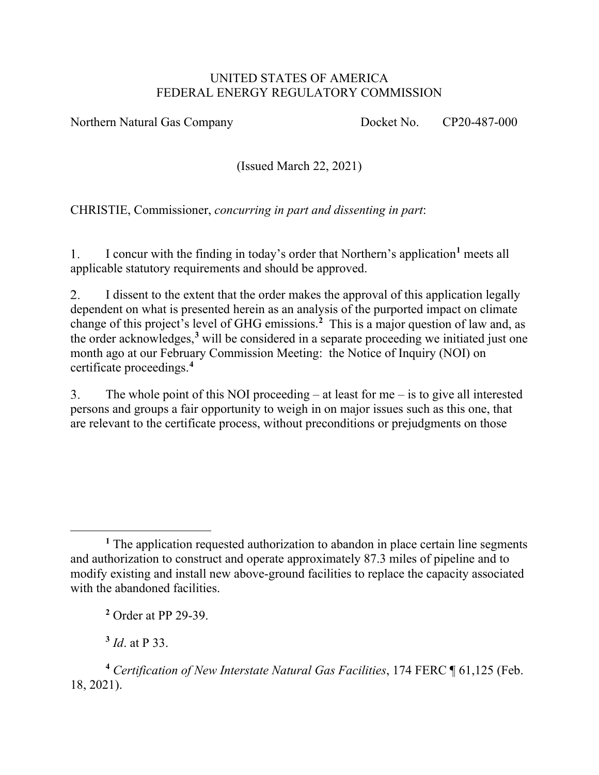#### UNITED STATES OF AMERICA FEDERAL ENERGY REGULATORY COMMISSION

Northern Natural Gas Company Docket No. CP20-487-000

(Issued March 22, 2021)

CHRISTIE, Commissioner, *concurring in part and dissenting in part*:

 $1<sub>1</sub>$ I concur with the finding in today's order that Northern's application**[1](#page-43-0)** meets all applicable statutory requirements and should be approved.

2. I dissent to the extent that the order makes the approval of this application legally dependent on what is presented herein as an analysis of the purported impact on climate change of this project's level of GHG emissions.**[2](#page-43-1)** This is a major question of law and, as the order acknowledges,**[3](#page-43-2)** will be considered in a separate proceeding we initiated just one month ago at our February Commission Meeting: the Notice of Inquiry (NOI) on certificate proceedings.**[4](#page-43-3)**

The whole point of this NOI proceeding  $-$  at least for me  $-$  is to give all interested  $3<sub>1</sub>$ persons and groups a fair opportunity to weigh in on major issues such as this one, that are relevant to the certificate process, without preconditions or prejudgments on those

**<sup>3</sup>** *Id*. at P 33.

<span id="page-43-3"></span><span id="page-43-2"></span><span id="page-43-1"></span>**<sup>4</sup>** *Certification of New Interstate Natural Gas Facilities*, 174 FERC ¶ 61,125 (Feb. 18, 2021).

<span id="page-43-0"></span><sup>&</sup>lt;sup>1</sup> The application requested authorization to abandon in place certain line segments and authorization to construct and operate approximately 87.3 miles of pipeline and to modify existing and install new above-ground facilities to replace the capacity associated with the abandoned facilities.

**<sup>2</sup>** Order at PP 29-39.